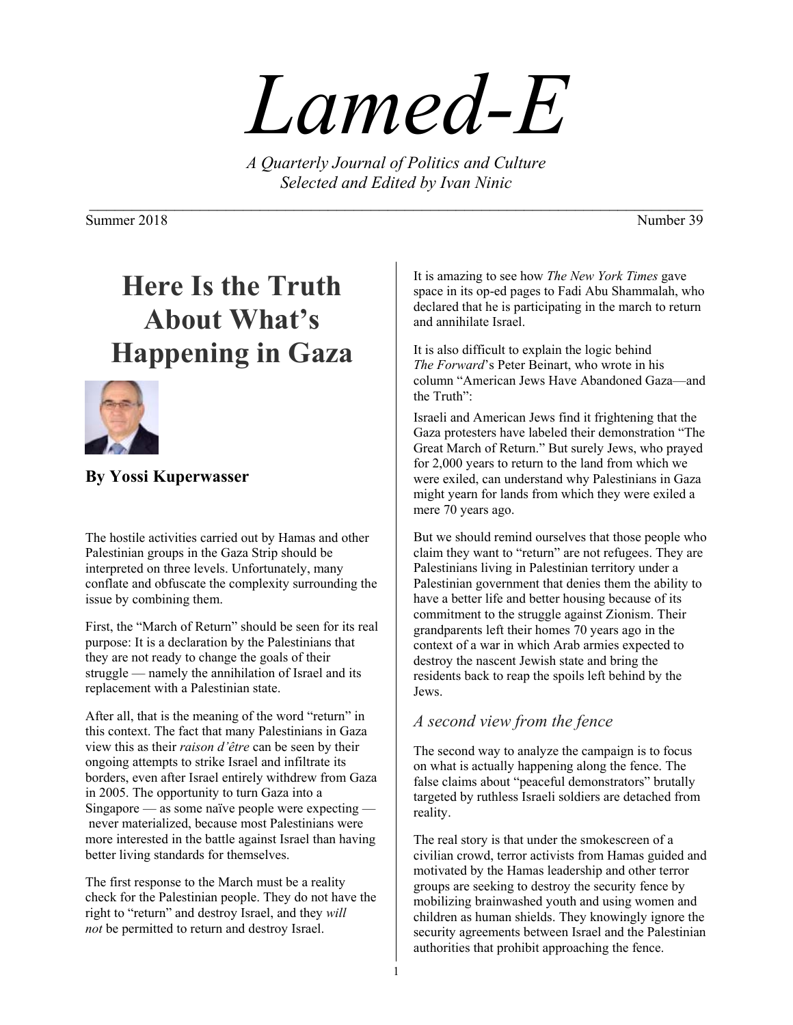# *Lamed-E*

*A Quarterly Journal of Politics and Culture Selected and Edited by Ivan Ninic* 

Summer 2018 Number 39

# **Here Is the Truth About What's Happening in Gaza**



### **By Yossi Kuperwasser**

The hostile activities carried out by Hamas and other Palestinian groups in the Gaza Strip should be interpreted on three levels. Unfortunately, many conflate and obfuscate the complexity surrounding the issue by combining them.

First, the "March of Return" should be seen for its real purpose: It is a declaration by the Palestinians that they are not ready to change the goals of their struggle — namely the annihilation of Israel and its replacement with a Palestinian state.

After all, that is the meaning of the word "return" in this context. The fact that many Palestinians in Gaza view this as their *raison d'être* can be seen by their ongoing attempts to strike Israel and infiltrate its borders, even after Israel entirely withdrew from Gaza in 2005. The opportunity to turn Gaza into a Singapore — as some naïve people were expecting never materialized, because most Palestinians were more interested in the battle against Israel than having better living standards for themselves.

The first response to the March must be a reality check for the Palestinian people. They do not have the right to "return" and destroy Israel, and they *will not* be permitted to return and destroy Israel.

It is amazing to see how *The New York Times* gave space in its op-ed pages to Fadi Abu Shammalah, who declared that he is participating in the march to return and annihilate Israel.

It is also difficult to explain the logic behind *The Forward*'s Peter Beinart, who wrote in his column "American Jews Have Abandoned Gaza—and the Truth":

Israeli and American Jews find it frightening that the Gaza protesters have labeled their demonstration "The Great March of Return." But surely Jews, who prayed for 2,000 years to return to the land from which we were exiled, can understand why Palestinians in Gaza might yearn for lands from which they were exiled a mere 70 years ago.

But we should remind ourselves that those people who claim they want to "return" are not refugees. They are Palestinians living in Palestinian territory under a Palestinian government that denies them the ability to have a better life and better housing because of its commitment to the struggle against Zionism. Their grandparents left their homes 70 years ago in the context of a war in which Arab armies expected to destroy the nascent Jewish state and bring the residents back to reap the spoils left behind by the Jews.

### *A second view from the fence*

The second way to analyze the campaign is to focus on what is actually happening along the fence. The false claims about "peaceful demonstrators" brutally targeted by ruthless Israeli soldiers are detached from reality.

The real story is that under the smokescreen of a civilian crowd, terror activists from Hamas guided and motivated by the Hamas leadership and other terror groups are seeking to destroy the security fence by mobilizing brainwashed youth and using women and children as human shields. They knowingly ignore the security agreements between Israel and the Palestinian authorities that prohibit approaching the fence.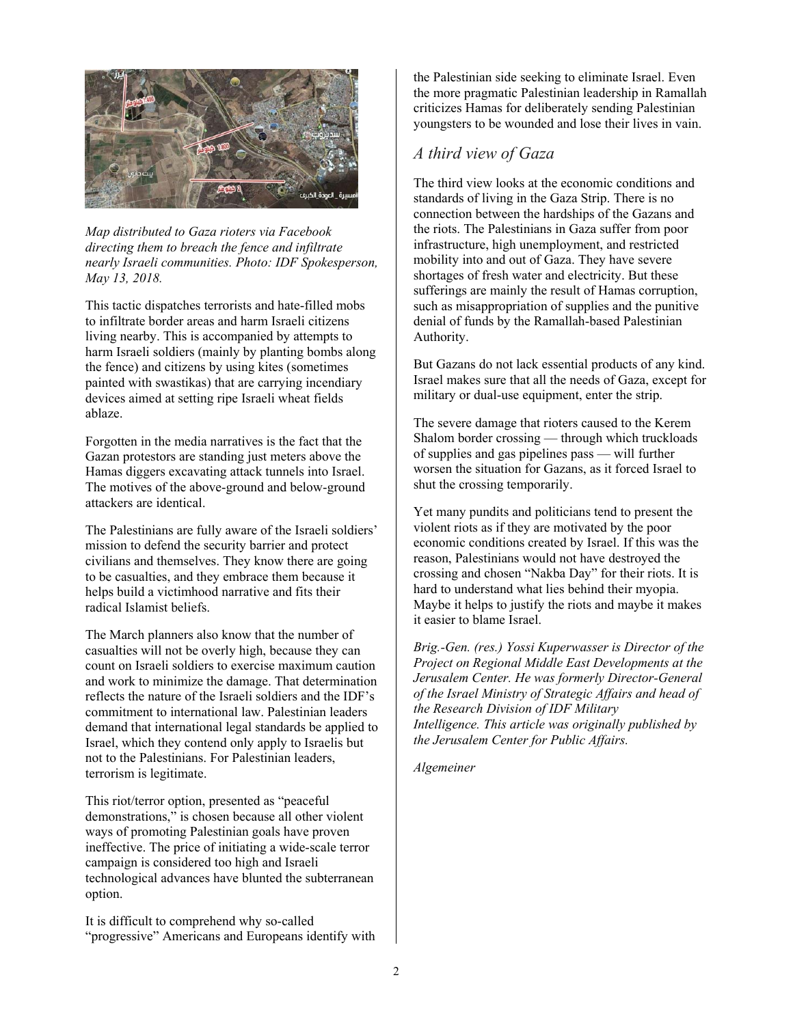

*Map distributed to Gaza rioters via Facebook directing them to breach the fence and infiltrate nearly Israeli communities. Photo: IDF Spokesperson, May 13, 2018.* 

This tactic dispatches terrorists and hate-filled mobs to infiltrate border areas and harm Israeli citizens living nearby. This is accompanied by attempts to harm Israeli soldiers (mainly by planting bombs along the fence) and citizens by using kites (sometimes painted with swastikas) that are carrying incendiary devices aimed at setting ripe Israeli wheat fields ablaze.

Forgotten in the media narratives is the fact that the Gazan protestors are standing just meters above the Hamas diggers excavating attack tunnels into Israel. The motives of the above-ground and below-ground attackers are identical.

The Palestinians are fully aware of the Israeli soldiers' mission to defend the security barrier and protect civilians and themselves. They know there are going to be casualties, and they embrace them because it helps build a victimhood narrative and fits their radical Islamist beliefs.

The March planners also know that the number of casualties will not be overly high, because they can count on Israeli soldiers to exercise maximum caution and work to minimize the damage. That determination reflects the nature of the Israeli soldiers and the IDF's commitment to international law. Palestinian leaders demand that international legal standards be applied to Israel, which they contend only apply to Israelis but not to the Palestinians. For Palestinian leaders, terrorism is legitimate.

This riot/terror option, presented as "peaceful demonstrations," is chosen because all other violent ways of promoting Palestinian goals have proven ineffective. The price of initiating a wide-scale terror campaign is considered too high and Israeli technological advances have blunted the subterranean option.

It is difficult to comprehend why so-called "progressive" Americans and Europeans identify with the Palestinian side seeking to eliminate Israel. Even the more pragmatic Palestinian leadership in Ramallah criticizes Hamas for deliberately sending Palestinian youngsters to be wounded and lose their lives in vain.

#### *A third view of Gaza*

The third view looks at the economic conditions and standards of living in the Gaza Strip. There is no connection between the hardships of the Gazans and the riots. The Palestinians in Gaza suffer from poor infrastructure, high unemployment, and restricted mobility into and out of Gaza. They have severe shortages of fresh water and electricity. But these sufferings are mainly the result of Hamas corruption, such as misappropriation of supplies and the punitive denial of funds by the Ramallah-based Palestinian Authority.

But Gazans do not lack essential products of any kind. Israel makes sure that all the needs of Gaza, except for military or dual-use equipment, enter the strip.

The severe damage that rioters caused to the Kerem Shalom border crossing — through which truckloads of supplies and gas pipelines pass — will further worsen the situation for Gazans, as it forced Israel to shut the crossing temporarily.

Yet many pundits and politicians tend to present the violent riots as if they are motivated by the poor economic conditions created by Israel. If this was the reason, Palestinians would not have destroyed the crossing and chosen "Nakba Day" for their riots. It is hard to understand what lies behind their myopia. Maybe it helps to justify the riots and maybe it makes it easier to blame Israel.

*Brig.-Gen. (res.) Yossi Kuperwasser is Director of the Project on Regional Middle East Developments at the Jerusalem Center. He was formerly Director-General of the Israel Ministry of Strategic Affairs and head of the Research Division of IDF Military Intelligence. This article was originally published by the Jerusalem Center for Public Affairs.* 

*Algemeiner*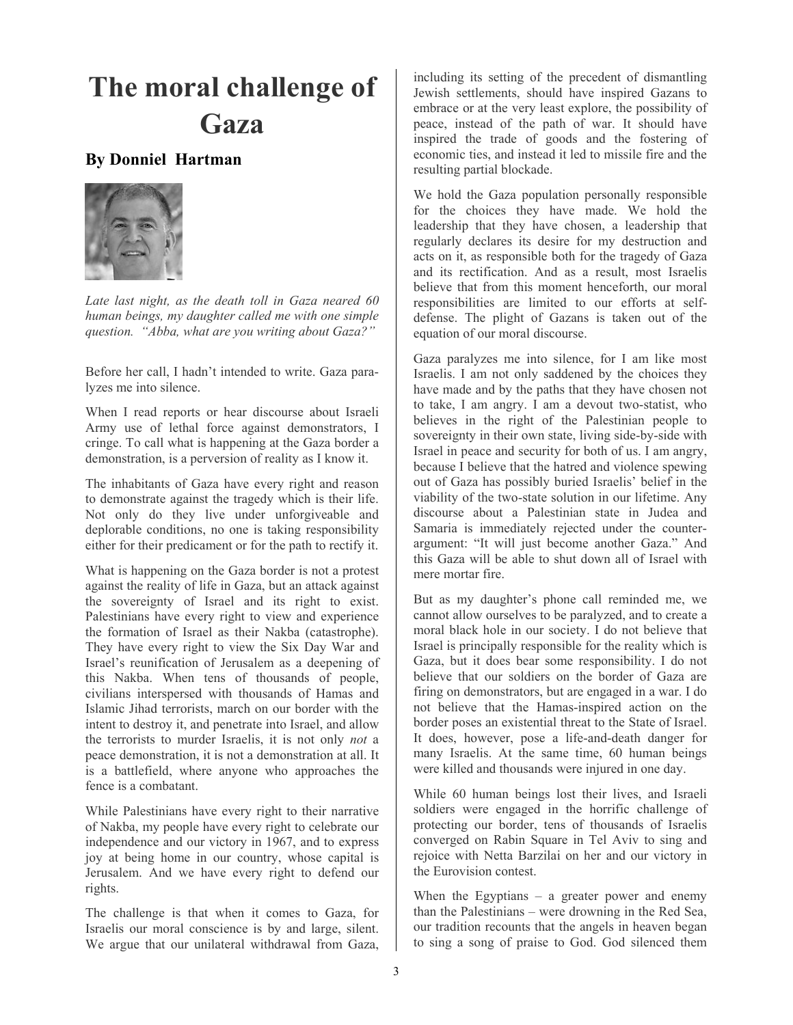## **The moral challenge of Gaza**

#### **By Donniel Hartman**



*Late last night, as the death toll in Gaza neared 60 human beings, my daughter called me with one simple question. "Abba, what are you writing about Gaza?"* 

Before her call, I hadn't intended to write. Gaza paralyzes me into silence.

When I read reports or hear discourse about Israeli Army use of lethal force against demonstrators, I cringe. To call what is happening at the Gaza border a demonstration, is a perversion of reality as I know it.

The inhabitants of Gaza have every right and reason to demonstrate against the tragedy which is their life. Not only do they live under unforgiveable and deplorable conditions, no one is taking responsibility either for their predicament or for the path to rectify it.

What is happening on the Gaza border is not a protest against the reality of life in Gaza, but an attack against the sovereignty of Israel and its right to exist. Palestinians have every right to view and experience the formation of Israel as their Nakba (catastrophe). They have every right to view the Six Day War and Israel's reunification of Jerusalem as a deepening of this Nakba. When tens of thousands of people, civilians interspersed with thousands of Hamas and Islamic Jihad terrorists, march on our border with the intent to destroy it, and penetrate into Israel, and allow the terrorists to murder Israelis, it is not only *not* a peace demonstration, it is not a demonstration at all. It is a battlefield, where anyone who approaches the fence is a combatant.

While Palestinians have every right to their narrative of Nakba, my people have every right to celebrate our independence and our victory in 1967, and to express joy at being home in our country, whose capital is Jerusalem. And we have every right to defend our rights.

The challenge is that when it comes to Gaza, for Israelis our moral conscience is by and large, silent. We argue that our unilateral withdrawal from Gaza,

including its setting of the precedent of dismantling Jewish settlements, should have inspired Gazans to embrace or at the very least explore, the possibility of peace, instead of the path of war. It should have inspired the trade of goods and the fostering of economic ties, and instead it led to missile fire and the resulting partial blockade.

We hold the Gaza population personally responsible for the choices they have made. We hold the leadership that they have chosen, a leadership that regularly declares its desire for my destruction and acts on it, as responsible both for the tragedy of Gaza and its rectification. And as a result, most Israelis believe that from this moment henceforth, our moral responsibilities are limited to our efforts at selfdefense. The plight of Gazans is taken out of the equation of our moral discourse.

Gaza paralyzes me into silence, for I am like most Israelis. I am not only saddened by the choices they have made and by the paths that they have chosen not to take, I am angry. I am a devout two-statist, who believes in the right of the Palestinian people to sovereignty in their own state, living side-by-side with Israel in peace and security for both of us. I am angry, because I believe that the hatred and violence spewing out of Gaza has possibly buried Israelis' belief in the viability of the two-state solution in our lifetime. Any discourse about a Palestinian state in Judea and Samaria is immediately rejected under the counterargument: "It will just become another Gaza." And this Gaza will be able to shut down all of Israel with mere mortar fire.

But as my daughter's phone call reminded me, we cannot allow ourselves to be paralyzed, and to create a moral black hole in our society. I do not believe that Israel is principally responsible for the reality which is Gaza, but it does bear some responsibility. I do not believe that our soldiers on the border of Gaza are firing on demonstrators, but are engaged in a war. I do not believe that the Hamas-inspired action on the border poses an existential threat to the State of Israel. It does, however, pose a life-and-death danger for many Israelis. At the same time, 60 human beings were killed and thousands were injured in one day.

While 60 human beings lost their lives, and Israeli soldiers were engaged in the horrific challenge of protecting our border, tens of thousands of Israelis converged on Rabin Square in Tel Aviv to sing and rejoice with Netta Barzilai on her and our victory in the Eurovision contest.

When the Egyptians  $-$  a greater power and enemy than the Palestinians – were drowning in the Red Sea, our tradition recounts that the angels in heaven began to sing a song of praise to God. God silenced them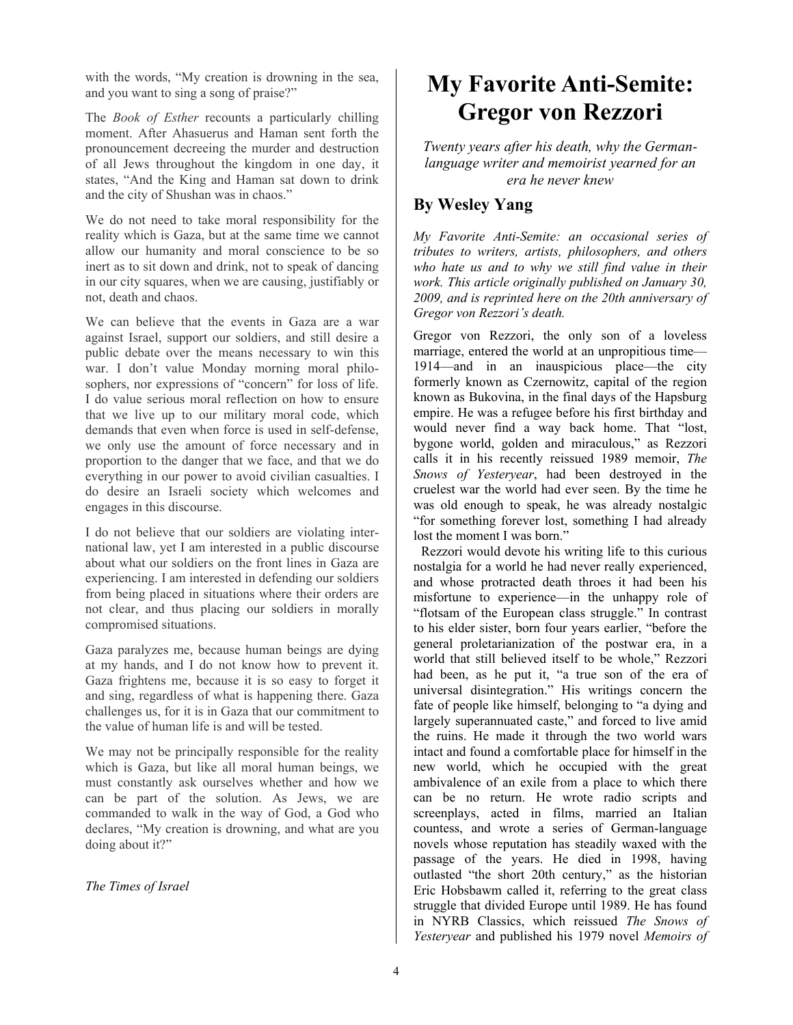with the words, "My creation is drowning in the sea, and you want to sing a song of praise?"

The *Book of Esther* recounts a particularly chilling moment. After Ahasuerus and Haman sent forth the pronouncement decreeing the murder and destruction of all Jews throughout the kingdom in one day, it states, "And the King and Haman sat down to drink and the city of Shushan was in chaos."

We do not need to take moral responsibility for the reality which is Gaza, but at the same time we cannot allow our humanity and moral conscience to be so inert as to sit down and drink, not to speak of dancing in our city squares, when we are causing, justifiably or not, death and chaos.

We can believe that the events in Gaza are a war against Israel, support our soldiers, and still desire a public debate over the means necessary to win this war. I don't value Monday morning moral philosophers, nor expressions of "concern" for loss of life. I do value serious moral reflection on how to ensure that we live up to our military moral code, which demands that even when force is used in self-defense, we only use the amount of force necessary and in proportion to the danger that we face, and that we do everything in our power to avoid civilian casualties. I do desire an Israeli society which welcomes and engages in this discourse.

I do not believe that our soldiers are violating international law, yet I am interested in a public discourse about what our soldiers on the front lines in Gaza are experiencing. I am interested in defending our soldiers from being placed in situations where their orders are not clear, and thus placing our soldiers in morally compromised situations.

Gaza paralyzes me, because human beings are dying at my hands, and I do not know how to prevent it. Gaza frightens me, because it is so easy to forget it and sing, regardless of what is happening there. Gaza challenges us, for it is in Gaza that our commitment to the value of human life is and will be tested.

We may not be principally responsible for the reality which is Gaza, but like all moral human beings, we must constantly ask ourselves whether and how we can be part of the solution. As Jews, we are commanded to walk in the way of God, a God who declares, "My creation is drowning, and what are you doing about it?"

*The Times of Israel*

### **My Favorite Anti-Semite: Gregor von Rezzori**

*Twenty years after his death, why the Germanlanguage writer and memoirist yearned for an era he never knew* 

### **By Wesley Yang**

*My Favorite Anti-Semite: an occasional series of tributes to writers, artists, philosophers, and others who hate us and to why we still find value in their work. This article originally published on January 30, 2009, and is reprinted here on the 20th anniversary of Gregor von Rezzori's death.* 

Gregor von Rezzori, the only son of a loveless marriage, entered the world at an unpropitious time— 1914—and in an inauspicious place—the city formerly known as Czernowitz, capital of the region known as Bukovina, in the final days of the Hapsburg empire. He was a refugee before his first birthday and would never find a way back home. That "lost, bygone world, golden and miraculous," as Rezzori calls it in his recently reissued 1989 memoir, *The Snows of Yesteryear*, had been destroyed in the cruelest war the world had ever seen. By the time he was old enough to speak, he was already nostalgic "for something forever lost, something I had already lost the moment I was born."

 Rezzori would devote his writing life to this curious nostalgia for a world he had never really experienced, and whose protracted death throes it had been his misfortune to experience—in the unhappy role of "flotsam of the European class struggle." In contrast to his elder sister, born four years earlier, "before the general proletarianization of the postwar era, in a world that still believed itself to be whole," Rezzori had been, as he put it, "a true son of the era of universal disintegration." His writings concern the fate of people like himself, belonging to "a dying and largely superannuated caste," and forced to live amid the ruins. He made it through the two world wars intact and found a comfortable place for himself in the new world, which he occupied with the great ambivalence of an exile from a place to which there can be no return. He wrote radio scripts and screenplays, acted in films, married an Italian countess, and wrote a series of German-language novels whose reputation has steadily waxed with the passage of the years. He died in 1998, having outlasted "the short 20th century," as the historian Eric Hobsbawm called it, referring to the great class struggle that divided Europe until 1989. He has found in NYRB Classics, which reissued *The Snows of Yesteryear* and published his 1979 novel *Memoirs of*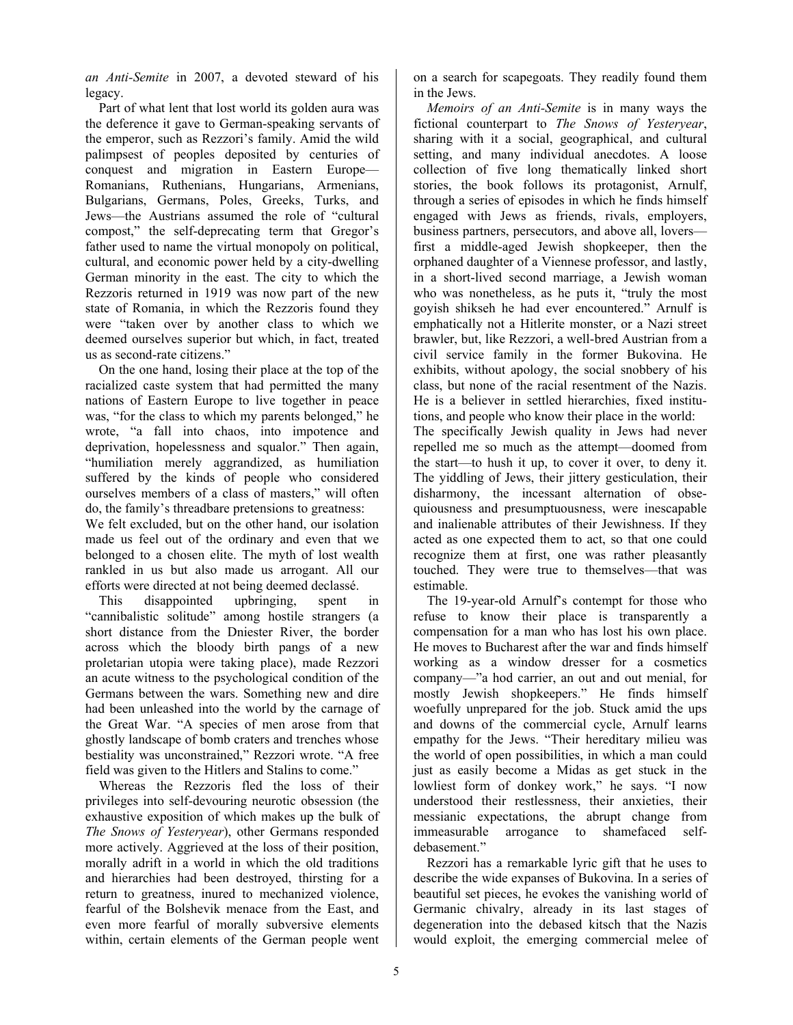*an Anti-Semite* in 2007, a devoted steward of his legacy.

 Part of what lent that lost world its golden aura was the deference it gave to German-speaking servants of the emperor, such as Rezzori's family. Amid the wild palimpsest of peoples deposited by centuries of conquest and migration in Eastern Europe— Romanians, Ruthenians, Hungarians, Armenians, Bulgarians, Germans, Poles, Greeks, Turks, and Jews—the Austrians assumed the role of "cultural compost," the self-deprecating term that Gregor's father used to name the virtual monopoly on political, cultural, and economic power held by a city-dwelling German minority in the east. The city to which the Rezzoris returned in 1919 was now part of the new state of Romania, in which the Rezzoris found they were "taken over by another class to which we deemed ourselves superior but which, in fact, treated us as second-rate citizens."

 On the one hand, losing their place at the top of the racialized caste system that had permitted the many nations of Eastern Europe to live together in peace was, "for the class to which my parents belonged," he wrote, "a fall into chaos, into impotence and deprivation, hopelessness and squalor." Then again, "humiliation merely aggrandized, as humiliation suffered by the kinds of people who considered ourselves members of a class of masters," will often do, the family's threadbare pretensions to greatness:

We felt excluded, but on the other hand, our isolation made us feel out of the ordinary and even that we belonged to a chosen elite. The myth of lost wealth rankled in us but also made us arrogant. All our efforts were directed at not being deemed declassé.

 This disappointed upbringing, spent in "cannibalistic solitude" among hostile strangers (a short distance from the Dniester River, the border across which the bloody birth pangs of a new proletarian utopia were taking place), made Rezzori an acute witness to the psychological condition of the Germans between the wars. Something new and dire had been unleashed into the world by the carnage of the Great War. "A species of men arose from that ghostly landscape of bomb craters and trenches whose bestiality was unconstrained," Rezzori wrote. "A free field was given to the Hitlers and Stalins to come."

 Whereas the Rezzoris fled the loss of their privileges into self-devouring neurotic obsession (the exhaustive exposition of which makes up the bulk of *The Snows of Yesteryear*), other Germans responded more actively. Aggrieved at the loss of their position, morally adrift in a world in which the old traditions and hierarchies had been destroyed, thirsting for a return to greatness, inured to mechanized violence, fearful of the Bolshevik menace from the East, and even more fearful of morally subversive elements within, certain elements of the German people went

on a search for scapegoats. They readily found them in the Jews.

 *Memoirs of an Anti-Semite* is in many ways the fictional counterpart to *The Snows of Yesteryear*, sharing with it a social, geographical, and cultural setting, and many individual anecdotes. A loose collection of five long thematically linked short stories, the book follows its protagonist, Arnulf, through a series of episodes in which he finds himself engaged with Jews as friends, rivals, employers, business partners, persecutors, and above all, lovers first a middle-aged Jewish shopkeeper, then the orphaned daughter of a Viennese professor, and lastly, in a short-lived second marriage, a Jewish woman who was nonetheless, as he puts it, "truly the most goyish shikseh he had ever encountered." Arnulf is emphatically not a Hitlerite monster, or a Nazi street brawler, but, like Rezzori, a well-bred Austrian from a civil service family in the former Bukovina. He exhibits, without apology, the social snobbery of his class, but none of the racial resentment of the Nazis. He is a believer in settled hierarchies, fixed institutions, and people who know their place in the world:

The specifically Jewish quality in Jews had never repelled me so much as the attempt—doomed from the start—to hush it up, to cover it over, to deny it. The yiddling of Jews, their jittery gesticulation, their disharmony, the incessant alternation of obsequiousness and presumptuousness, were inescapable and inalienable attributes of their Jewishness. If they acted as one expected them to act, so that one could recognize them at first, one was rather pleasantly touched. They were true to themselves—that was estimable.

 The 19-year-old Arnulf's contempt for those who refuse to know their place is transparently a compensation for a man who has lost his own place. He moves to Bucharest after the war and finds himself working as a window dresser for a cosmetics company—"a hod carrier, an out and out menial, for mostly Jewish shopkeepers." He finds himself woefully unprepared for the job. Stuck amid the ups and downs of the commercial cycle, Arnulf learns empathy for the Jews. "Their hereditary milieu was the world of open possibilities, in which a man could just as easily become a Midas as get stuck in the lowliest form of donkey work," he says. "I now understood their restlessness, their anxieties, their messianic expectations, the abrupt change from immeasurable arrogance to shamefaced selfdebasement."

 Rezzori has a remarkable lyric gift that he uses to describe the wide expanses of Bukovina. In a series of beautiful set pieces, he evokes the vanishing world of Germanic chivalry, already in its last stages of degeneration into the debased kitsch that the Nazis would exploit, the emerging commercial melee of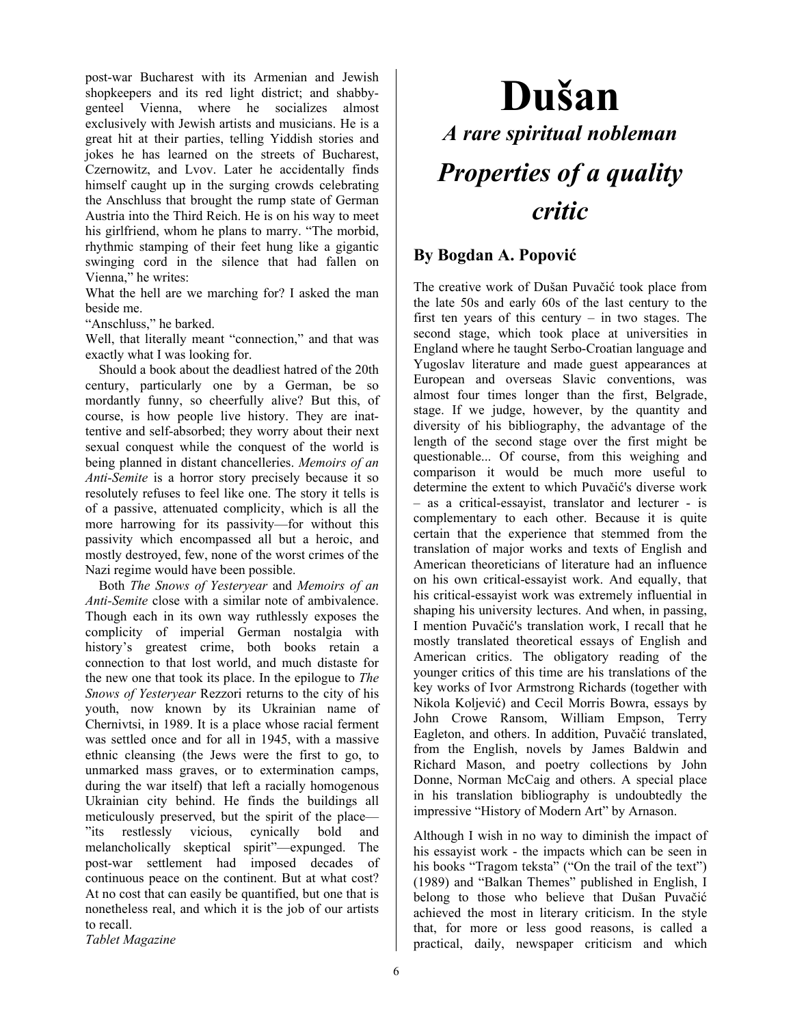post-war Bucharest with its Armenian and Jewish shopkeepers and its red light district; and shabbygenteel Vienna, where he socializes almost exclusively with Jewish artists and musicians. He is a great hit at their parties, telling Yiddish stories and jokes he has learned on the streets of Bucharest, Czernowitz, and Lvov. Later he accidentally finds himself caught up in the surging crowds celebrating the Anschluss that brought the rump state of German Austria into the Third Reich. He is on his way to meet his girlfriend, whom he plans to marry. "The morbid, rhythmic stamping of their feet hung like a gigantic swinging cord in the silence that had fallen on Vienna," he writes:

What the hell are we marching for? I asked the man beside me.

"Anschluss," he barked.

Well, that literally meant "connection," and that was exactly what I was looking for.

 Should a book about the deadliest hatred of the 20th century, particularly one by a German, be so mordantly funny, so cheerfully alive? But this, of course, is how people live history. They are inattentive and self-absorbed; they worry about their next sexual conquest while the conquest of the world is being planned in distant chancelleries. *Memoirs of an Anti-Semite* is a horror story precisely because it so resolutely refuses to feel like one. The story it tells is of a passive, attenuated complicity, which is all the more harrowing for its passivity—for without this passivity which encompassed all but a heroic, and mostly destroyed, few, none of the worst crimes of the Nazi regime would have been possible.

 Both *The Snows of Yesteryear* and *Memoirs of an Anti-Semite* close with a similar note of ambivalence. Though each in its own way ruthlessly exposes the complicity of imperial German nostalgia with history's greatest crime, both books retain a connection to that lost world, and much distaste for the new one that took its place. In the epilogue to *The Snows of Yesteryear* Rezzori returns to the city of his youth, now known by its Ukrainian name of Chernivtsi, in 1989. It is a place whose racial ferment was settled once and for all in 1945, with a massive ethnic cleansing (the Jews were the first to go, to unmarked mass graves, or to extermination camps, during the war itself) that left a racially homogenous Ukrainian city behind. He finds the buildings all meticulously preserved, but the spirit of the place— "its restlessly vicious, cynically bold and melancholically skeptical spirit"—expunged. The post-war settlement had imposed decades of continuous peace on the continent. But at what cost? At no cost that can easily be quantified, but one that is nonetheless real, and which it is the job of our artists to recall.

*Tablet Magazine* 

# **Dušan**  *A rare spiritual nobleman Properties of a quality critic*

#### **By Bogdan A. Popović**

The creative work of Dušan Puvačić took place from the late 50s and early 60s of the last century to the first ten years of this century  $-$  in two stages. The second stage, which took place at universities in England where he taught Serbo-Croatian language and Yugoslav literature and made guest appearances at European and overseas Slavic conventions, was almost four times longer than the first, Belgrade, stage. If we judge, however, by the quantity and diversity of his bibliography, the advantage of the length of the second stage over the first might be questionable... Of course, from this weighing and comparison it would be much more useful to determine the extent to which Puvačić's diverse work – as a critical-essayist, translator and lecturer - is complementary to each other. Because it is quite certain that the experience that stemmed from the translation of major works and texts of English and American theoreticians of literature had an influence on his own critical-essayist work. And equally, that his critical-essayist work was extremely influential in shaping his university lectures. And when, in passing, I mention Puvačić's translation work, I recall that he mostly translated theoretical essays of English and American critics. The obligatory reading of the younger critics of this time are his translations of the key works of Ivor Armstrong Richards (together with Nikola Koljević) and Cecil Morris Bowra, essays by John Crowe Ransom, William Empson, Terry Eagleton, and others. In addition, Puvačić translated, from the English, novels by James Baldwin and Richard Mason, and poetry collections by John Donne, Norman McCaig and others. A special place in his translation bibliography is undoubtedly the impressive "History of Modern Art" by Arnason.

Although I wish in no way to diminish the impact of his essayist work - the impacts which can be seen in his books "Tragom teksta" ("On the trail of the text") (1989) and "Balkan Themes" published in English, I belong to those who believe that Dušan Puvačić achieved the most in literary criticism. In the style that, for more or less good reasons, is called a practical, daily, newspaper criticism and which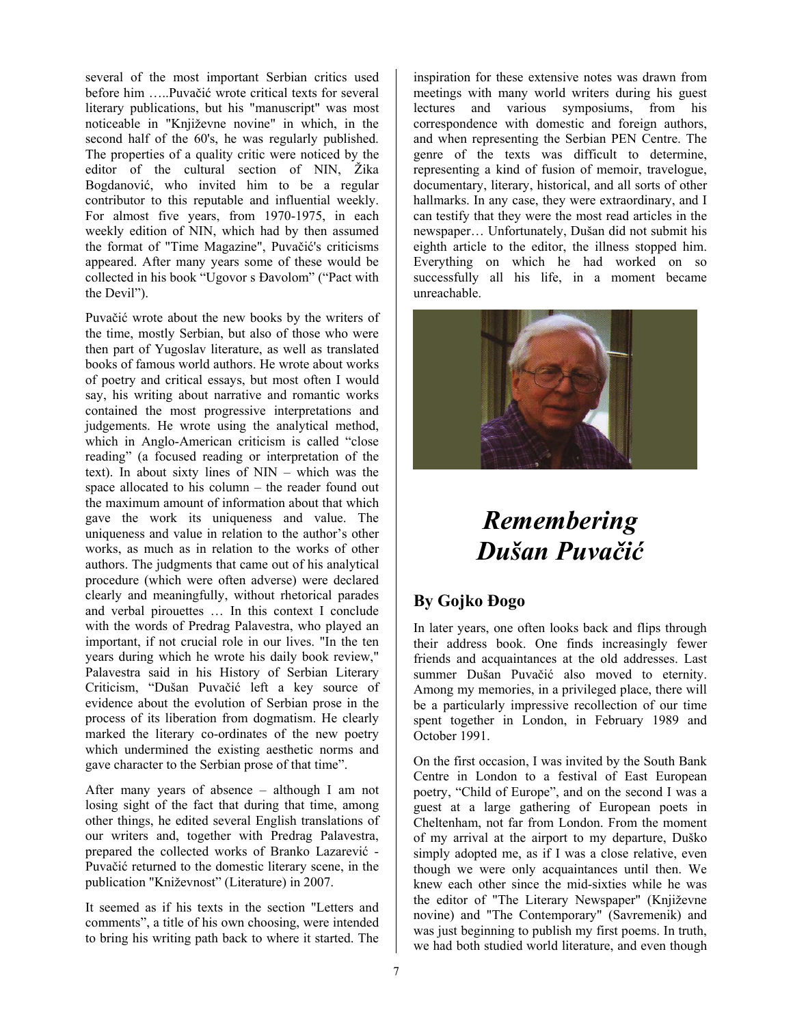several of the most important Serbian critics used before him …..Puvačić wrote critical texts for several literary publications, but his "manuscript" was most noticeable in "Književne novine" in which, in the second half of the 60's, he was regularly published. The properties of a quality critic were noticed by the editor of the cultural section of NIN, Žika Bogdanović, who invited him to be a regular contributor to this reputable and influential weekly. For almost five years, from 1970-1975, in each weekly edition of NIN, which had by then assumed the format of "Time Magazine", Puvačić's criticisms appeared. After many years some of these would be collected in his book "Ugovor s Đavolom" ("Pact with the Devil").

Puvačić wrote about the new books by the writers of the time, mostly Serbian, but also of those who were then part of Yugoslav literature, as well as translated books of famous world authors. He wrote about works of poetry and critical essays, but most often I would say, his writing about narrative and romantic works contained the most progressive interpretations and judgements. He wrote using the analytical method, which in Anglo-American criticism is called "close reading" (a focused reading or interpretation of the text). In about sixty lines of NIN – which was the space allocated to his column – the reader found out the maximum amount of information about that which gave the work its uniqueness and value. The uniqueness and value in relation to the author's other works, as much as in relation to the works of other authors. The judgments that came out of his analytical procedure (which were often adverse) were declared clearly and meaningfully, without rhetorical parades and verbal pirouettes … In this context I conclude with the words of Predrag Palavestra, who played an important, if not crucial role in our lives. "In the ten years during which he wrote his daily book review," Palavestra said in his History of Serbian Literary Criticism, "Dušan Puvačić left a key source of evidence about the evolution of Serbian prose in the process of its liberation from dogmatism. He clearly marked the literary co-ordinates of the new poetry which undermined the existing aesthetic norms and gave character to the Serbian prose of that time".

After many years of absence – although I am not losing sight of the fact that during that time, among other things, he edited several English translations of our writers and, together with Predrag Palavestra, prepared the collected works of Branko Lazarević - Puvačić returned to the domestic literary scene, in the publication "Kniževnost" (Literature) in 2007.

It seemed as if his texts in the section "Letters and comments", a title of his own choosing, were intended to bring his writing path back to where it started. The

inspiration for these extensive notes was drawn from meetings with many world writers during his guest lectures and various symposiums, from his correspondence with domestic and foreign authors, and when representing the Serbian PEN Centre. The genre of the texts was difficult to determine, representing a kind of fusion of memoir, travelogue, documentary, literary, historical, and all sorts of other hallmarks. In any case, they were extraordinary, and I can testify that they were the most read articles in the newspaper… Unfortunately, Dušan did not submit his eighth article to the editor, the illness stopped him. Everything on which he had worked on so successfully all his life, in a moment became unreachable.



### *Remembering Dušan Puvačić*

### **By Gojko Đogo**

In later years, one often looks back and flips through their address book. One finds increasingly fewer friends and acquaintances at the old addresses. Last summer Dušan Puvačić also moved to eternity. Among my memories, in a privileged place, there will be a particularly impressive recollection of our time spent together in London, in February 1989 and October 1991.

On the first occasion, I was invited by the South Bank Centre in London to a festival of East European poetry, "Child of Europe", and on the second I was a guest at a large gathering of European poets in Cheltenham, not far from London. From the moment of my arrival at the airport to my departure, Duško simply adopted me, as if I was a close relative, even though we were only acquaintances until then. We knew each other since the mid-sixties while he was the editor of "The Literary Newspaper" (Književne novine) and "The Contemporary" (Savremenik) and was just beginning to publish my first poems. In truth, we had both studied world literature, and even though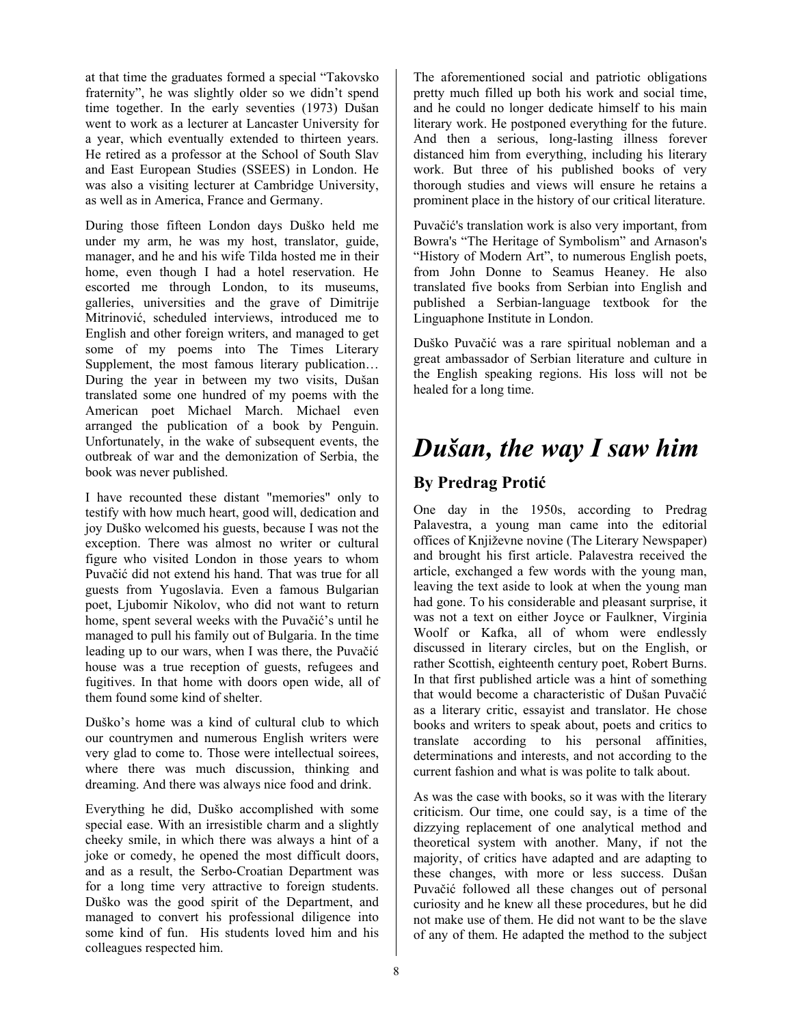at that time the graduates formed a special "Takovsko fraternity", he was slightly older so we didn't spend time together. In the early seventies (1973) Dušan went to work as a lecturer at Lancaster University for a year, which eventually extended to thirteen years. He retired as a professor at the School of South Slav and East European Studies (SSEES) in London. He was also a visiting lecturer at Cambridge University, as well as in America, France and Germany.

During those fifteen London days Duško held me under my arm, he was my host, translator, guide, manager, and he and his wife Tilda hosted me in their home, even though I had a hotel reservation. He escorted me through London, to its museums, galleries, universities and the grave of Dimitrije Mitrinović, scheduled interviews, introduced me to English and other foreign writers, and managed to get some of my poems into The Times Literary Supplement, the most famous literary publication… During the year in between my two visits, Dušan translated some one hundred of my poems with the American poet Michael March. Michael even arranged the publication of a book by Penguin. Unfortunately, in the wake of subsequent events, the outbreak of war and the demonization of Serbia, the book was never published.

I have recounted these distant "memories" only to testify with how much heart, good will, dedication and joy Duško welcomed his guests, because I was not the exception. There was almost no writer or cultural figure who visited London in those years to whom Puvačić did not extend his hand. That was true for all guests from Yugoslavia. Even a famous Bulgarian poet, Ljubomir Nikolov, who did not want to return home, spent several weeks with the Puvačić's until he managed to pull his family out of Bulgaria. In the time leading up to our wars, when I was there, the Puvačić house was a true reception of guests, refugees and fugitives. In that home with doors open wide, all of them found some kind of shelter.

Duško's home was a kind of cultural club to which our countrymen and numerous English writers were very glad to come to. Those were intellectual soirees, where there was much discussion, thinking and dreaming. And there was always nice food and drink.

Everything he did, Duško accomplished with some special ease. With an irresistible charm and a slightly cheeky smile, in which there was always a hint of a joke or comedy, he opened the most difficult doors, and as a result, the Serbo-Croatian Department was for a long time very attractive to foreign students. Duško was the good spirit of the Department, and managed to convert his professional diligence into some kind of fun. His students loved him and his colleagues respected him.

The aforementioned social and patriotic obligations pretty much filled up both his work and social time, and he could no longer dedicate himself to his main literary work. He postponed everything for the future. And then a serious, long-lasting illness forever distanced him from everything, including his literary work. But three of his published books of very thorough studies and views will ensure he retains a prominent place in the history of our critical literature.

Puvačić's translation work is also very important, from Bowra's "The Heritage of Symbolism" and Arnason's "History of Modern Art", to numerous English poets, from John Donne to Seamus Heaney. He also translated five books from Serbian into English and published a Serbian-language textbook for the Linguaphone Institute in London.

Duško Puvačić was a rare spiritual nobleman and a great ambassador of Serbian literature and culture in the English speaking regions. His loss will not be healed for a long time.

### *Dušan, the way I saw him*

### **By Predrag Protić**

One day in the 1950s, according to Predrag Palavestra, a young man came into the editorial offices of Književne novine (The Literary Newspaper) and brought his first article. Palavestra received the article, exchanged a few words with the young man, leaving the text aside to look at when the young man had gone. To his considerable and pleasant surprise, it was not a text on either Joyce or Faulkner, Virginia Woolf or Kafka, all of whom were endlessly discussed in literary circles, but on the English, or rather Scottish, eighteenth century poet, Robert Burns. In that first published article was a hint of something that would become a characteristic of Dušan Puvačić as a literary critic, essayist and translator. He chose books and writers to speak about, poets and critics to translate according to his personal affinities, determinations and interests, and not according to the current fashion and what is was polite to talk about.

As was the case with books, so it was with the literary criticism. Our time, one could say, is a time of the dizzying replacement of one analytical method and theoretical system with another. Many, if not the majority, of critics have adapted and are adapting to these changes, with more or less success. Dušan Puvačić followed all these changes out of personal curiosity and he knew all these procedures, but he did not make use of them. He did not want to be the slave of any of them. He adapted the method to the subject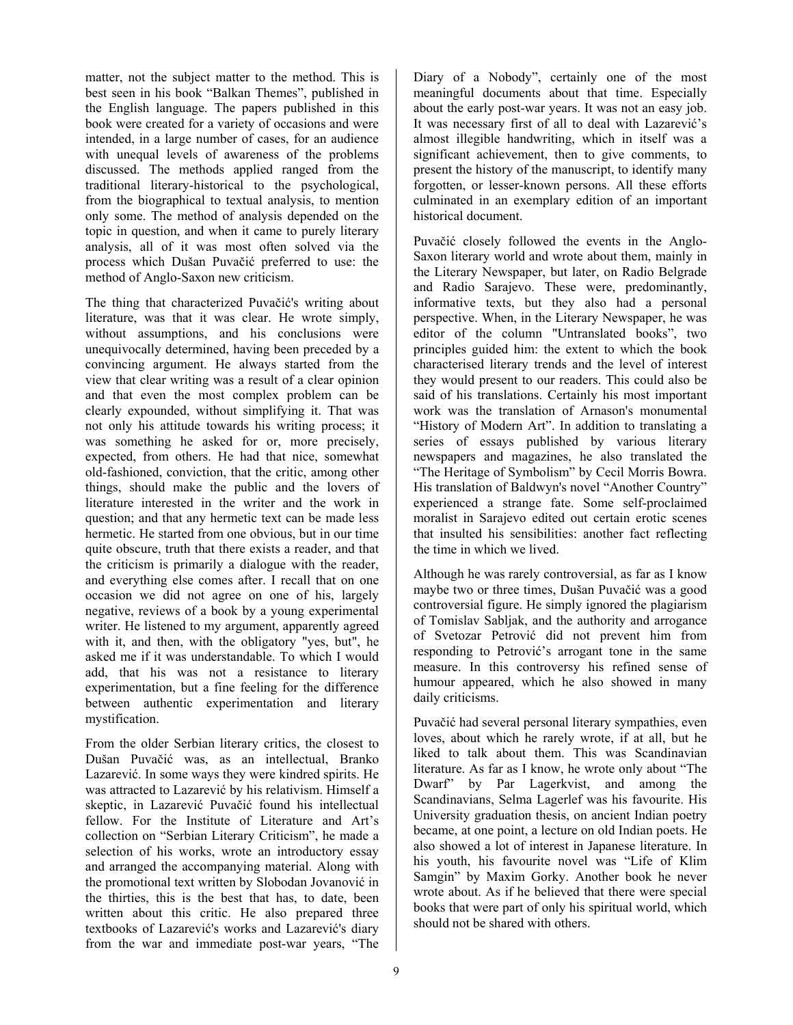matter, not the subject matter to the method. This is best seen in his book "Balkan Themes", published in the English language. The papers published in this book were created for a variety of occasions and were intended, in a large number of cases, for an audience with unequal levels of awareness of the problems discussed. The methods applied ranged from the traditional literary-historical to the psychological, from the biographical to textual analysis, to mention only some. The method of analysis depended on the topic in question, and when it came to purely literary analysis, all of it was most often solved via the process which Dušan Puvačić preferred to use: the method of Anglo-Saxon new criticism.

The thing that characterized Puvačić's writing about literature, was that it was clear. He wrote simply, without assumptions, and his conclusions were unequivocally determined, having been preceded by a convincing argument. He always started from the view that clear writing was a result of a clear opinion and that even the most complex problem can be clearly expounded, without simplifying it. That was not only his attitude towards his writing process; it was something he asked for or, more precisely, expected, from others. He had that nice, somewhat old-fashioned, conviction, that the critic, among other things, should make the public and the lovers of literature interested in the writer and the work in question; and that any hermetic text can be made less hermetic. He started from one obvious, but in our time quite obscure, truth that there exists a reader, and that the criticism is primarily a dialogue with the reader, and everything else comes after. I recall that on one occasion we did not agree on one of his, largely negative, reviews of a book by a young experimental writer. He listened to my argument, apparently agreed with it, and then, with the obligatory "yes, but", he asked me if it was understandable. To which I would add, that his was not a resistance to literary experimentation, but a fine feeling for the difference between authentic experimentation and literary mystification.

From the older Serbian literary critics, the closest to Dušan Puvačić was, as an intellectual, Branko Lazarević. In some ways they were kindred spirits. He was attracted to Lazarević by his relativism. Himself a skeptic, in Lazarević Puvačić found his intellectual fellow. For the Institute of Literature and Art's collection on "Serbian Literary Criticism", he made a selection of his works, wrote an introductory essay and arranged the accompanying material. Along with the promotional text written by Slobodan Jovanović in the thirties, this is the best that has, to date, been written about this critic. He also prepared three textbooks of Lazarević's works and Lazarević's diary from the war and immediate post-war years, "The

Diary of a Nobody", certainly one of the most meaningful documents about that time. Especially about the early post-war years. It was not an easy job. It was necessary first of all to deal with Lazarević's almost illegible handwriting, which in itself was a significant achievement, then to give comments, to present the history of the manuscript, to identify many forgotten, or lesser-known persons. All these efforts culminated in an exemplary edition of an important historical document.

Puvačić closely followed the events in the Anglo-Saxon literary world and wrote about them, mainly in the Literary Newspaper, but later, on Radio Belgrade and Radio Sarajevo. These were, predominantly, informative texts, but they also had a personal perspective. When, in the Literary Newspaper, he was editor of the column "Untranslated books", two principles guided him: the extent to which the book characterised literary trends and the level of interest they would present to our readers. This could also be said of his translations. Certainly his most important work was the translation of Arnason's monumental "History of Modern Art". In addition to translating a series of essays published by various literary newspapers and magazines, he also translated the "The Heritage of Symbolism" by Cecil Morris Bowra. His translation of Baldwyn's novel "Another Country" experienced a strange fate. Some self-proclaimed moralist in Sarajevo edited out certain erotic scenes that insulted his sensibilities: another fact reflecting the time in which we lived.

Although he was rarely controversial, as far as I know maybe two or three times, Dušan Puvačić was a good controversial figure. He simply ignored the plagiarism of Tomislav Sabljak, and the authority and arrogance of Svetozar Petrović did not prevent him from responding to Petrović's arrogant tone in the same measure. In this controversy his refined sense of humour appeared, which he also showed in many daily criticisms.

Puvačić had several personal literary sympathies, even loves, about which he rarely wrote, if at all, but he liked to talk about them. This was Scandinavian literature. As far as I know, he wrote only about "The Dwarf" by Par Lagerkvist, and among the Scandinavians, Selma Lagerlef was his favourite. His University graduation thesis, on ancient Indian poetry became, at one point, a lecture on old Indian poets. He also showed a lot of interest in Japanese literature. In his youth, his favourite novel was "Life of Klim Samgin" by Maxim Gorky. Another book he never wrote about. As if he believed that there were special books that were part of only his spiritual world, which should not be shared with others.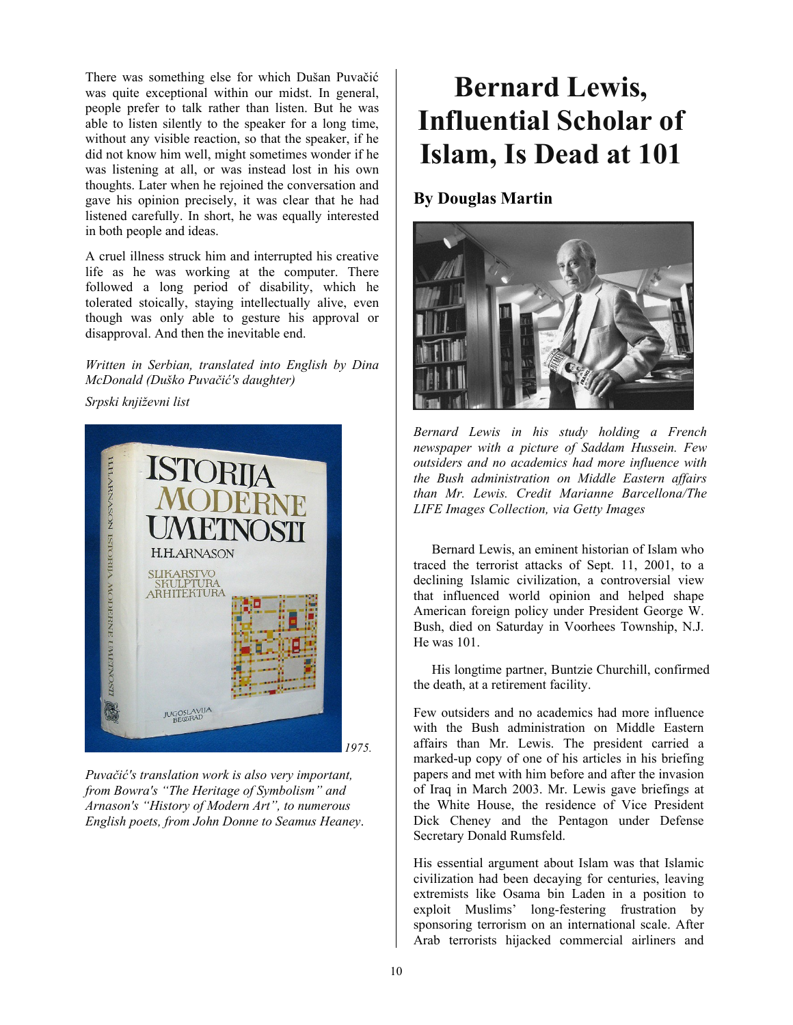There was something else for which Dušan Puvačić was quite exceptional within our midst. In general, people prefer to talk rather than listen. But he was able to listen silently to the speaker for a long time, without any visible reaction, so that the speaker, if he did not know him well, might sometimes wonder if he was listening at all, or was instead lost in his own thoughts. Later when he rejoined the conversation and gave his opinion precisely, it was clear that he had listened carefully. In short, he was equally interested in both people and ideas.

A cruel illness struck him and interrupted his creative life as he was working at the computer. There followed a long period of disability, which he tolerated stoically, staying intellectually alive, even though was only able to gesture his approval or disapproval. And then the inevitable end.

*Written in Serbian, translated into English by Dina McDonald (Duško Puvačić's daughter)* 

*Srpski književni list* 



*Puvačić's translation work is also very important, from Bowra's "The Heritage of Symbolism" and Arnason's "History of Modern Art", to numerous English poets, from John Donne to Seamus Heaney*.

# **Bernard Lewis, Influential Scholar of Islam, Is Dead at 101**

### **By Douglas Martin**



*Bernard Lewis in his study holding a French newspaper with a picture of Saddam Hussein. Few outsiders and no academics had more influence with the Bush administration on Middle Eastern affairs than Mr. Lewis. Credit Marianne Barcellona/The LIFE Images Collection, via Getty Images* 

Bernard Lewis, an eminent historian of Islam who traced the terrorist attacks of Sept. 11, 2001, to a declining Islamic civilization, a controversial view that influenced world opinion and helped shape American foreign policy under President George W. Bush, died on Saturday in Voorhees Township, N.J. He was 101.

His longtime partner, Buntzie Churchill, confirmed the death, at a retirement facility.

Few outsiders and no academics had more influence with the Bush administration on Middle Eastern affairs than Mr. Lewis. The president carried a marked-up copy of one of his articles in his briefing papers and met with him before and after the invasion of Iraq in March 2003. Mr. Lewis gave briefings at the White House, the residence of Vice President Dick Cheney and the Pentagon under Defense Secretary Donald Rumsfeld.

His essential argument about Islam was that Islamic civilization had been decaying for centuries, leaving extremists like Osama bin Laden in a position to exploit Muslims' long-festering frustration by sponsoring terrorism on an international scale. After Arab terrorists hijacked commercial airliners and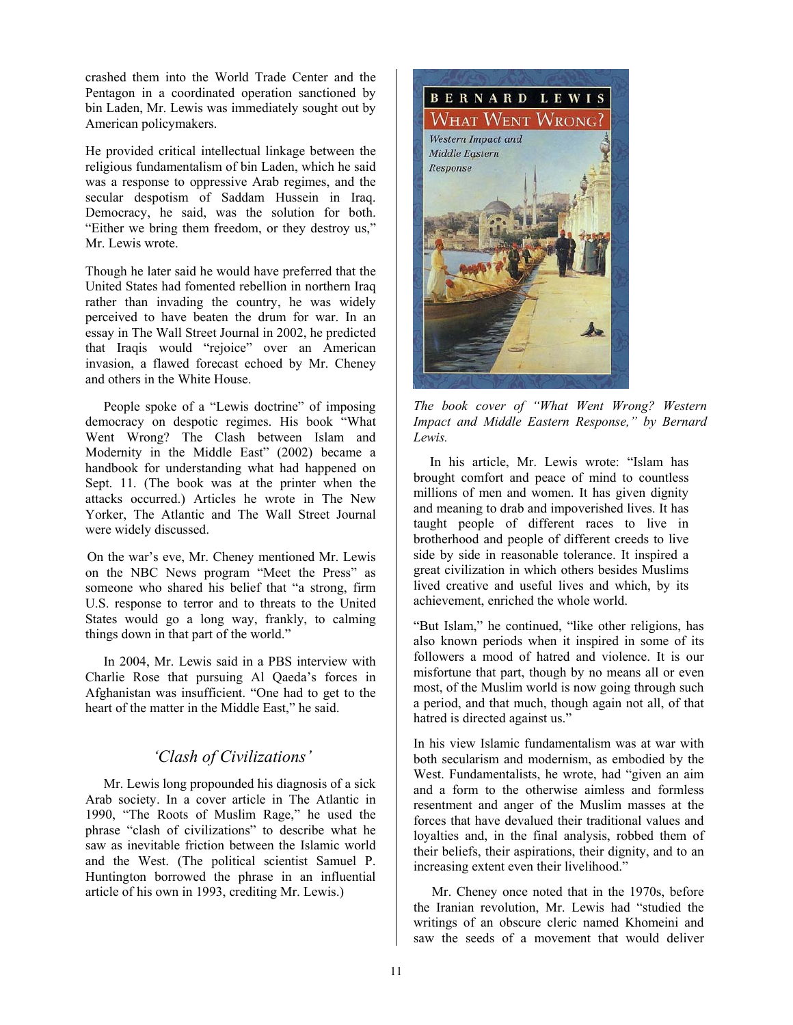crashed them into the World Trade Center and the Pentagon in a coordinated operation sanctioned by bin Laden, Mr. Lewis was immediately sought out by American policymakers.

He provided critical intellectual linkage between the religious fundamentalism of bin Laden, which he said was a response to oppressive Arab regimes, and the secular despotism of Saddam Hussein in Iraq. Democracy, he said, was the solution for both. "Either we bring them freedom, or they destroy us," Mr. Lewis wrote.

Though he later said he would have preferred that the United States had fomented rebellion in northern Iraq rather than invading the country, he was widely perceived to have beaten the drum for war. In an essay in The Wall Street Journal in 2002, he predicted that Iraqis would "rejoice" over an American invasion, a flawed forecast echoed by Mr. Cheney and others in the White House.

People spoke of a "Lewis doctrine" of imposing democracy on despotic regimes. His book "What Went Wrong? The Clash between Islam and Modernity in the Middle East" (2002) became a handbook for understanding what had happened on Sept. 11. (The book was at the printer when the attacks occurred.) Articles he wrote in The New Yorker, The Atlantic and The Wall Street Journal were widely discussed.

On the war's eve, Mr. Cheney mentioned Mr. Lewis on the NBC News program "Meet the Press" as someone who shared his belief that "a strong, firm U.S. response to terror and to threats to the United States would go a long way, frankly, to calming things down in that part of the world."

In 2004, Mr. Lewis said in a PBS interview with Charlie Rose that pursuing Al Qaeda's forces in Afghanistan was insufficient. "One had to get to the heart of the matter in the Middle East," he said.

#### *'Clash of Civilizations'*

Mr. Lewis long propounded his diagnosis of a sick Arab society. In a cover article in The Atlantic in 1990, "The Roots of Muslim Rage," he used the phrase "clash of civilizations" to describe what he saw as inevitable friction between the Islamic world and the West. (The political scientist Samuel P. Huntington borrowed the phrase in an influential article of his own in 1993, crediting Mr. Lewis.)



*The book cover of "What Went Wrong? Western Impact and Middle Eastern Response," by Bernard Lewis.* 

In his article, Mr. Lewis wrote: "Islam has brought comfort and peace of mind to countless millions of men and women. It has given dignity and meaning to drab and impoverished lives. It has taught people of different races to live in brotherhood and people of different creeds to live side by side in reasonable tolerance. It inspired a great civilization in which others besides Muslims lived creative and useful lives and which, by its achievement, enriched the whole world.

"But Islam," he continued, "like other religions, has also known periods when it inspired in some of its followers a mood of hatred and violence. It is our misfortune that part, though by no means all or even most, of the Muslim world is now going through such a period, and that much, though again not all, of that hatred is directed against us."

In his view Islamic fundamentalism was at war with both secularism and modernism, as embodied by the West. Fundamentalists, he wrote, had "given an aim and a form to the otherwise aimless and formless resentment and anger of the Muslim masses at the forces that have devalued their traditional values and loyalties and, in the final analysis, robbed them of their beliefs, their aspirations, their dignity, and to an increasing extent even their livelihood."

Mr. Cheney once noted that in the 1970s, before the Iranian revolution, Mr. Lewis had "studied the writings of an obscure cleric named Khomeini and saw the seeds of a movement that would deliver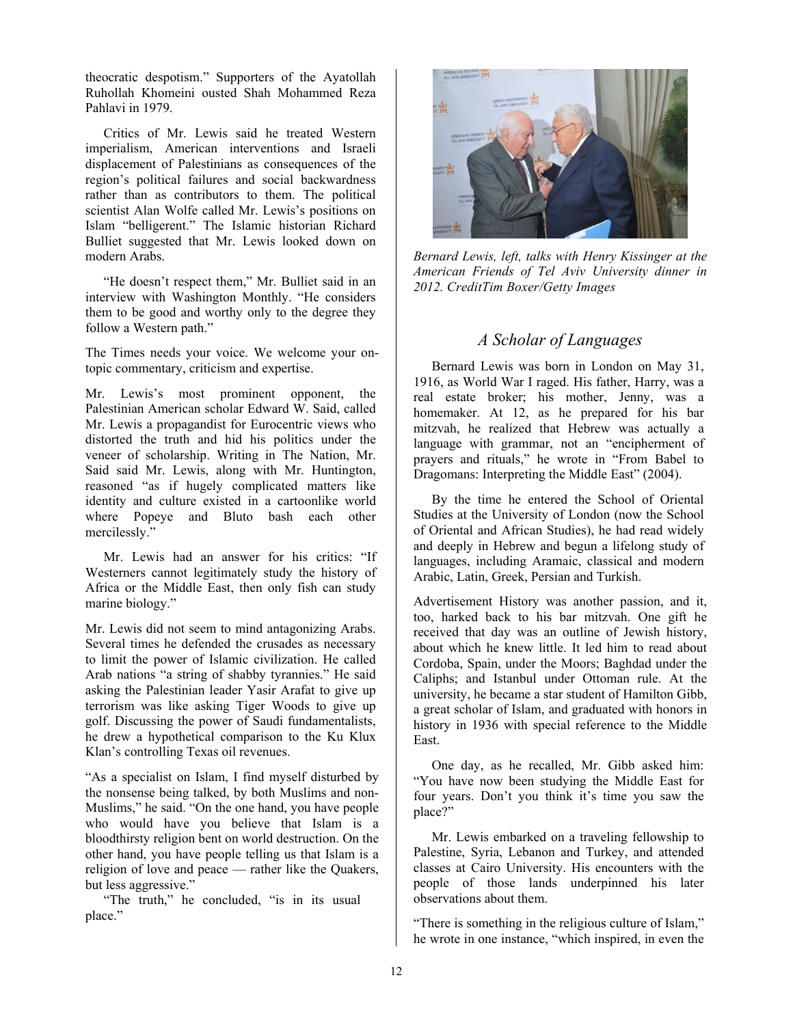theocratic despotism." Supporters of the Ayatollah Ruhollah Khomeini ousted Shah Mohammed Reza Pahlavi in 1979.

Critics of Mr. Lewis said he treated Western imperialism, American interventions and Israeli displacement of Palestinians as consequences of the region's political failures and social backwardness rather than as contributors to them. The political scientist Alan Wolfe called Mr. Lewis's positions on Islam "belligerent." The Islamic historian Richard Bulliet suggested that Mr. Lewis looked down on modern Arabs.

"He doesn't respect them," Mr. Bulliet said in an interview with Washington Monthly. "He considers them to be good and worthy only to the degree they follow a Western path."

The Times needs your voice. We welcome your ontopic commentary, criticism and expertise.

Mr. Lewis's most prominent opponent, the Palestinian American scholar Edward W. Said, called Mr. Lewis a propagandist for Eurocentric views who distorted the truth and hid his politics under the veneer of scholarship. Writing in The Nation, Mr. Said said Mr. Lewis, along with Mr. Huntington, reasoned "as if hugely complicated matters like identity and culture existed in a cartoonlike world where Popeye and Bluto bash each other mercilessly."

Mr. Lewis had an answer for his critics: "If Westerners cannot legitimately study the history of Africa or the Middle East, then only fish can study marine biology."

Mr. Lewis did not seem to mind antagonizing Arabs. Several times he defended the crusades as necessary to limit the power of Islamic civilization. He called Arab nations "a string of shabby tyrannies." He said asking the Palestinian leader Yasir Arafat to give up terrorism was like asking Tiger Woods to give up golf. Discussing the power of Saudi fundamentalists, he drew a hypothetical comparison to the Ku Klux Klan's controlling Texas oil revenues.

"As a specialist on Islam, I find myself disturbed by the nonsense being talked, by both Muslims and non-Muslims," he said. "On the one hand, you have people who would have you believe that Islam is a bloodthirsty religion bent on world destruction. On the other hand, you have people telling us that Islam is a religion of love and peace — rather like the Quakers, but less aggressive."

"The truth," he concluded, "is in its usual place."



*Bernard Lewis, left, talks with Henry Kissinger at the American Friends of Tel Aviv University dinner in 2012. CreditTim Boxer/Getty Images* 

#### *A Scholar of Languages*

Bernard Lewis was born in London on May 31, 1916, as World War I raged. His father, Harry, was a real estate broker; his mother, Jenny, was a homemaker. At 12, as he prepared for his bar mitzvah, he realized that Hebrew was actually a language with grammar, not an "encipherment of prayers and rituals," he wrote in "From Babel to Dragomans: Interpreting the Middle East" (2004).

By the time he entered the School of Oriental Studies at the University of London (now the School of Oriental and African Studies), he had read widely and deeply in Hebrew and begun a lifelong study of languages, including Aramaic, classical and modern Arabic, Latin, Greek, Persian and Turkish.

Advertisement History was another passion, and it, too, harked back to his bar mitzvah. One gift he received that day was an outline of Jewish history, about which he knew little. It led him to read about Cordoba, Spain, under the Moors; Baghdad under the Caliphs; and Istanbul under Ottoman rule. At the university, he became a star student of Hamilton Gibb, a great scholar of Islam, and graduated with honors in history in 1936 with special reference to the Middle East.

One day, as he recalled, Mr. Gibb asked him: "You have now been studying the Middle East for four years. Don't you think it's time you saw the place?"

Mr. Lewis embarked on a traveling fellowship to Palestine, Syria, Lebanon and Turkey, and attended classes at Cairo University. His encounters with the people of those lands underpinned his later observations about them.

"There is something in the religious culture of Islam," he wrote in one instance, "which inspired, in even the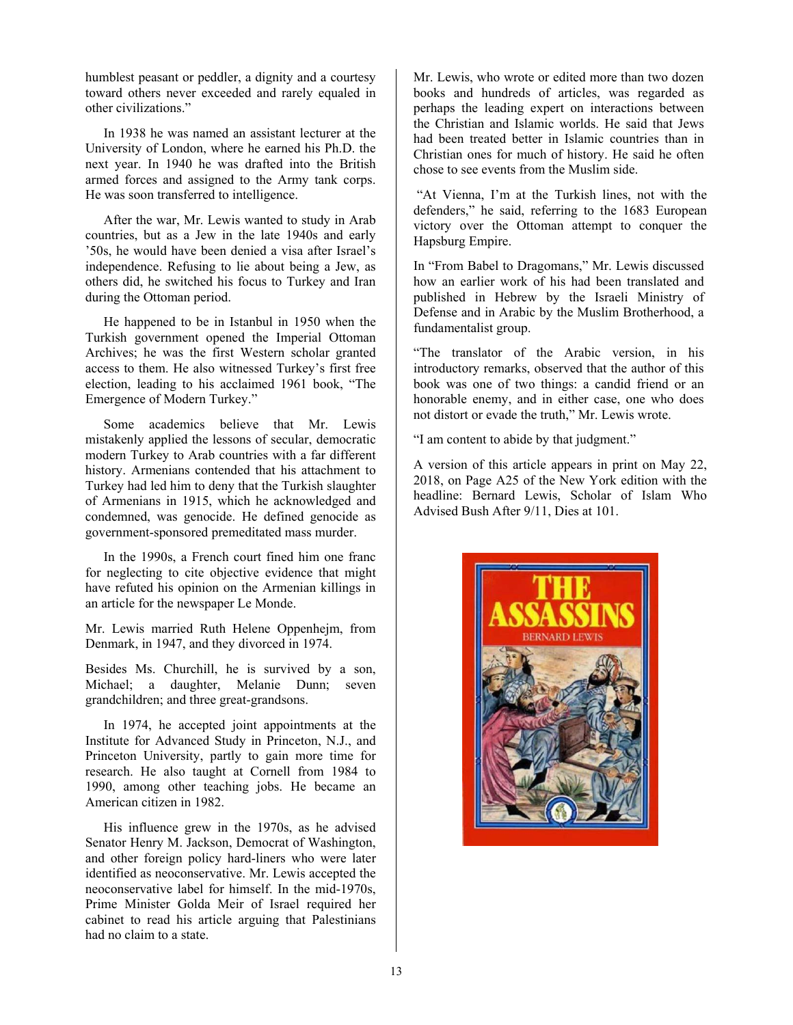humblest peasant or peddler, a dignity and a courtesy toward others never exceeded and rarely equaled in other civilizations."

In 1938 he was named an assistant lecturer at the University of London, where he earned his Ph.D. the next year. In 1940 he was drafted into the British armed forces and assigned to the Army tank corps. He was soon transferred to intelligence.

After the war, Mr. Lewis wanted to study in Arab countries, but as a Jew in the late 1940s and early '50s, he would have been denied a visa after Israel's independence. Refusing to lie about being a Jew, as others did, he switched his focus to Turkey and Iran during the Ottoman period.

He happened to be in Istanbul in 1950 when the Turkish government opened the Imperial Ottoman Archives; he was the first Western scholar granted access to them. He also witnessed Turkey's first free election, leading to his acclaimed 1961 book, "The Emergence of Modern Turkey."

Some academics believe that Mr. Lewis mistakenly applied the lessons of secular, democratic modern Turkey to Arab countries with a far different history. Armenians contended that his attachment to Turkey had led him to deny that the Turkish slaughter of Armenians in 1915, which he acknowledged and condemned, was genocide. He defined genocide as government-sponsored premeditated mass murder.

In the 1990s, a French court fined him one franc for neglecting to cite objective evidence that might have refuted his opinion on the Armenian killings in an article for the newspaper Le Monde.

Mr. Lewis married Ruth Helene Oppenhejm, from Denmark, in 1947, and they divorced in 1974.

Besides Ms. Churchill, he is survived by a son, Michael; a daughter, Melanie Dunn; seven grandchildren; and three great-grandsons.

In 1974, he accepted joint appointments at the Institute for Advanced Study in Princeton, N.J., and Princeton University, partly to gain more time for research. He also taught at Cornell from 1984 to 1990, among other teaching jobs. He became an American citizen in 1982.

His influence grew in the 1970s, as he advised Senator Henry M. Jackson, Democrat of Washington, and other foreign policy hard-liners who were later identified as neoconservative. Mr. Lewis accepted the neoconservative label for himself. In the mid-1970s, Prime Minister Golda Meir of Israel required her cabinet to read his article arguing that Palestinians had no claim to a state.

Mr. Lewis, who wrote or edited more than two dozen books and hundreds of articles, was regarded as perhaps the leading expert on interactions between the Christian and Islamic worlds. He said that Jews had been treated better in Islamic countries than in Christian ones for much of history. He said he often chose to see events from the Muslim side.

 "At Vienna, I'm at the Turkish lines, not with the defenders," he said, referring to the 1683 European victory over the Ottoman attempt to conquer the Hapsburg Empire.

In "From Babel to Dragomans," Mr. Lewis discussed how an earlier work of his had been translated and published in Hebrew by the Israeli Ministry of Defense and in Arabic by the Muslim Brotherhood, a fundamentalist group.

"The translator of the Arabic version, in his introductory remarks, observed that the author of this book was one of two things: a candid friend or an honorable enemy, and in either case, one who does not distort or evade the truth," Mr. Lewis wrote.

"I am content to abide by that judgment."

A version of this article appears in print on May 22, 2018, on Page A25 of the New York edition with the headline: Bernard Lewis, Scholar of Islam Who Advised Bush After 9/11, Dies at 101.

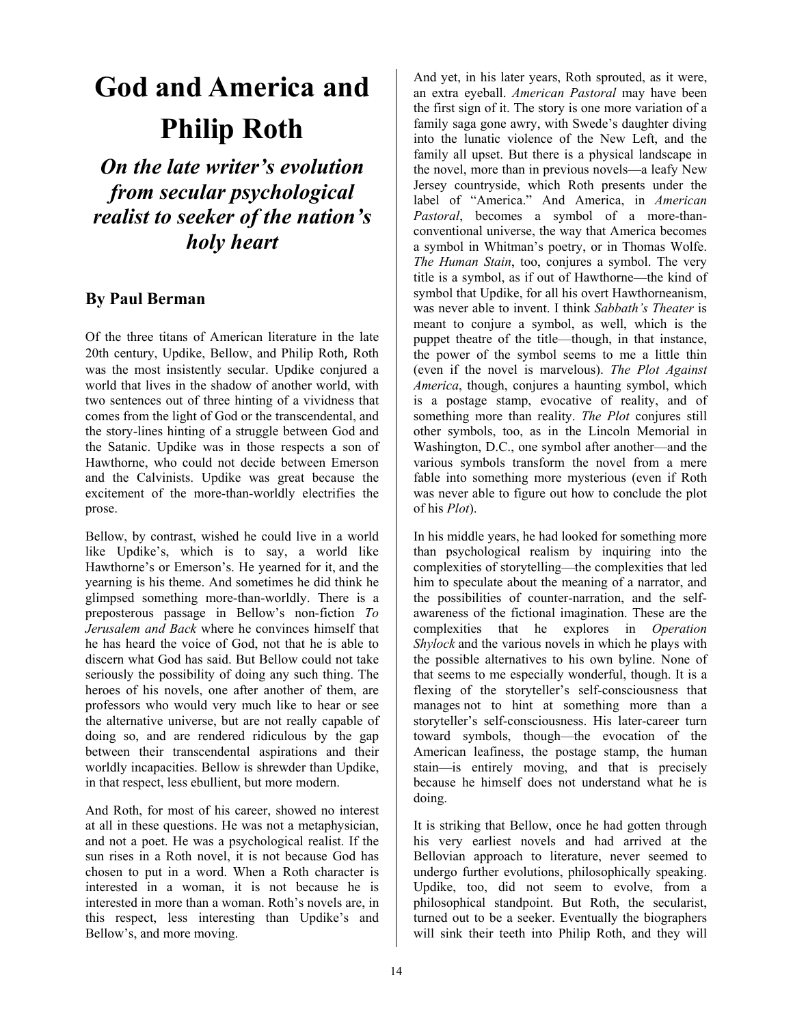# **God and America and Philip Roth**

*On the late writer's evolution from secular psychological realist to seeker of the nation's holy heart* 

#### **By Paul Berman**

Of the three titans of American literature in the late 20th century, Updike, Bellow, and Philip Roth, Roth was the most insistently secular. Updike conjured a world that lives in the shadow of another world, with two sentences out of three hinting of a vividness that comes from the light of God or the transcendental, and the story-lines hinting of a struggle between God and the Satanic. Updike was in those respects a son of Hawthorne, who could not decide between Emerson and the Calvinists. Updike was great because the excitement of the more-than-worldly electrifies the prose.

Bellow, by contrast, wished he could live in a world like Updike's, which is to say, a world like Hawthorne's or Emerson's. He yearned for it, and the yearning is his theme. And sometimes he did think he glimpsed something more-than-worldly. There is a preposterous passage in Bellow's non-fiction *To Jerusalem and Back* where he convinces himself that he has heard the voice of God, not that he is able to discern what God has said. But Bellow could not take seriously the possibility of doing any such thing. The heroes of his novels, one after another of them, are professors who would very much like to hear or see the alternative universe, but are not really capable of doing so, and are rendered ridiculous by the gap between their transcendental aspirations and their worldly incapacities. Bellow is shrewder than Updike, in that respect, less ebullient, but more modern.

And Roth, for most of his career, showed no interest at all in these questions. He was not a metaphysician, and not a poet. He was a psychological realist. If the sun rises in a Roth novel, it is not because God has chosen to put in a word. When a Roth character is interested in a woman, it is not because he is interested in more than a woman. Roth's novels are, in this respect, less interesting than Updike's and Bellow's, and more moving.

And yet, in his later years, Roth sprouted, as it were, an extra eyeball. *American Pastoral* may have been the first sign of it. The story is one more variation of a family saga gone awry, with Swede's daughter diving into the lunatic violence of the New Left, and the family all upset. But there is a physical landscape in the novel, more than in previous novels—a leafy New Jersey countryside, which Roth presents under the label of "America." And America, in *American Pastoral*, becomes a symbol of a more-thanconventional universe, the way that America becomes a symbol in Whitman's poetry, or in Thomas Wolfe. *The Human Stain*, too, conjures a symbol. The very title is a symbol, as if out of Hawthorne—the kind of symbol that Updike, for all his overt Hawthorneanism, was never able to invent. I think *Sabbath's Theater* is meant to conjure a symbol, as well, which is the puppet theatre of the title—though, in that instance, the power of the symbol seems to me a little thin (even if the novel is marvelous). *The Plot Against America*, though, conjures a haunting symbol, which is a postage stamp, evocative of reality, and of something more than reality. *The Plot* conjures still other symbols, too, as in the Lincoln Memorial in Washington, D.C., one symbol after another—and the various symbols transform the novel from a mere fable into something more mysterious (even if Roth was never able to figure out how to conclude the plot of his *Plot*).

In his middle years, he had looked for something more than psychological realism by inquiring into the complexities of storytelling—the complexities that led him to speculate about the meaning of a narrator, and the possibilities of counter-narration, and the selfawareness of the fictional imagination. These are the complexities that he explores in *Operation Shylock* and the various novels in which he plays with the possible alternatives to his own byline. None of that seems to me especially wonderful, though. It is a flexing of the storyteller's self-consciousness that manages not to hint at something more than a storyteller's self-consciousness. His later-career turn toward symbols, though—the evocation of the American leafiness, the postage stamp, the human stain—is entirely moving, and that is precisely because he himself does not understand what he is doing.

It is striking that Bellow, once he had gotten through his very earliest novels and had arrived at the Bellovian approach to literature, never seemed to undergo further evolutions, philosophically speaking. Updike, too, did not seem to evolve, from a philosophical standpoint. But Roth, the secularist, turned out to be a seeker. Eventually the biographers will sink their teeth into Philip Roth, and they will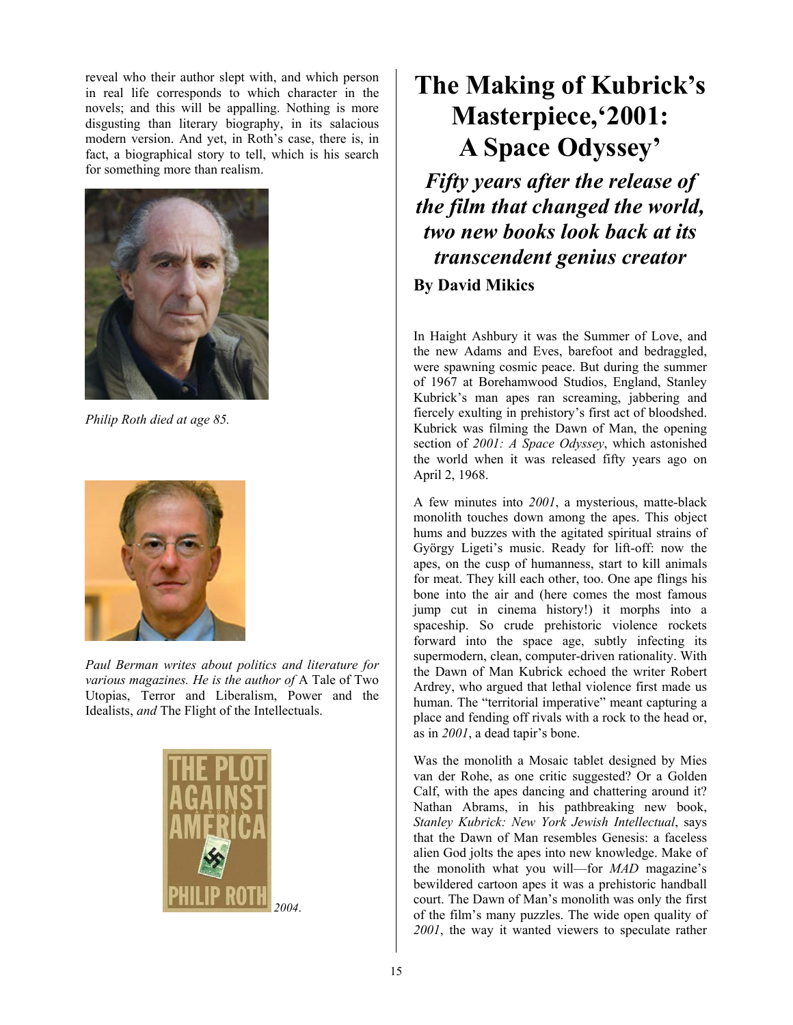reveal who their author slept with, and which person in real life corresponds to which character in the novels; and this will be appalling. Nothing is more disgusting than literary biography, in its salacious modern version. And yet, in Roth's case, there is, in fact, a biographical story to tell, which is his search for something more than realism.



*Philip Roth died at age 85.*



*Paul Berman writes about politics and literature for various magazines. He is the author of* A Tale of Two Utopias, Terror and Liberalism, Power and the Idealists, *and* The Flight of the Intellectuals.



### **The Making of Kubrick's Masterpiece,'2001: A Space Odyssey'**

*Fifty years after the release of the film that changed the world, two new books look back at its transcendent genius creator* 

**By David Mikics** 

In Haight Ashbury it was the Summer of Love, and the new Adams and Eves, barefoot and bedraggled, were spawning cosmic peace. But during the summer of 1967 at Borehamwood Studios, England, Stanley Kubrick's man apes ran screaming, jabbering and fiercely exulting in prehistory's first act of bloodshed. Kubrick was filming the Dawn of Man, the opening section of *2001: A Space Odyssey*, which astonished the world when it was released fifty years ago on April 2, 1968.

A few minutes into *2001*, a mysterious, matte-black monolith touches down among the apes. This object hums and buzzes with the agitated spiritual strains of György Ligeti's music. Ready for lift-off: now the apes, on the cusp of humanness, start to kill animals for meat. They kill each other, too. One ape flings his bone into the air and (here comes the most famous jump cut in cinema history!) it morphs into a spaceship. So crude prehistoric violence rockets forward into the space age, subtly infecting its supermodern, clean, computer-driven rationality. With the Dawn of Man Kubrick echoed the writer Robert Ardrey, who argued that lethal violence first made us human. The "territorial imperative" meant capturing a place and fending off rivals with a rock to the head or, as in *2001*, a dead tapir's bone.

Was the monolith a Mosaic tablet designed by Mies van der Rohe, as one critic suggested? Or a Golden Calf, with the apes dancing and chattering around it? Nathan Abrams, in his pathbreaking new book, *Stanley Kubrick: New York Jewish Intellectual*, says that the Dawn of Man resembles Genesis: a faceless alien God jolts the apes into new knowledge. Make of the monolith what you will—for *MAD* magazine's bewildered cartoon apes it was a prehistoric handball court. The Dawn of Man's monolith was only the first of the film's many puzzles. The wide open quality of *2001*, the way it wanted viewers to speculate rather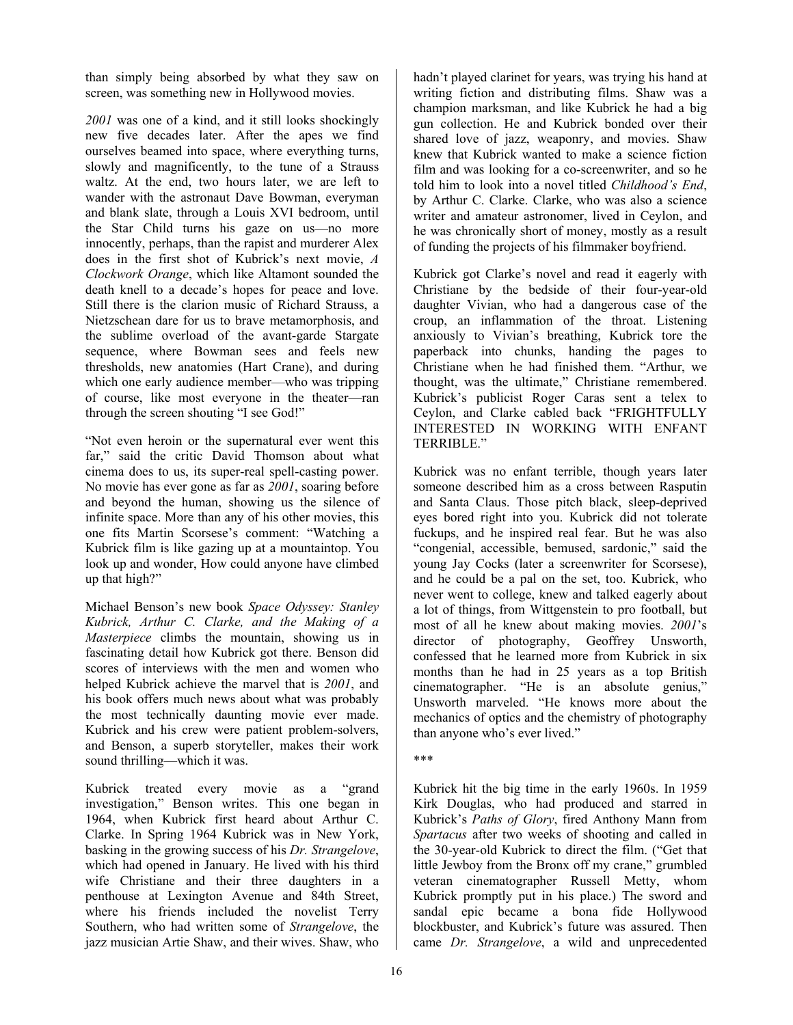than simply being absorbed by what they saw on screen, was something new in Hollywood movies.

*2001* was one of a kind, and it still looks shockingly new five decades later. After the apes we find ourselves beamed into space, where everything turns, slowly and magnificently, to the tune of a Strauss waltz. At the end, two hours later, we are left to wander with the astronaut Dave Bowman, everyman and blank slate, through a Louis XVI bedroom, until the Star Child turns his gaze on us—no more innocently, perhaps, than the rapist and murderer Alex does in the first shot of Kubrick's next movie, *A Clockwork Orange*, which like Altamont sounded the death knell to a decade's hopes for peace and love. Still there is the clarion music of Richard Strauss, a Nietzschean dare for us to brave metamorphosis, and the sublime overload of the avant-garde Stargate sequence, where Bowman sees and feels new thresholds, new anatomies (Hart Crane), and during which one early audience member—who was tripping of course, like most everyone in the theater—ran through the screen shouting "I see God!"

"Not even heroin or the supernatural ever went this far," said the critic David Thomson about what cinema does to us, its super-real spell-casting power. No movie has ever gone as far as *2001*, soaring before and beyond the human, showing us the silence of infinite space. More than any of his other movies, this one fits Martin Scorsese's comment: "Watching a Kubrick film is like gazing up at a mountaintop. You look up and wonder, How could anyone have climbed up that high?"

Michael Benson's new book *Space Odyssey: Stanley Kubrick, Arthur C. Clarke, and the Making of a Masterpiece* climbs the mountain, showing us in fascinating detail how Kubrick got there. Benson did scores of interviews with the men and women who helped Kubrick achieve the marvel that is *2001*, and his book offers much news about what was probably the most technically daunting movie ever made. Kubrick and his crew were patient problem-solvers, and Benson, a superb storyteller, makes their work sound thrilling—which it was.

Kubrick treated every movie as a "grand investigation," Benson writes. This one began in 1964, when Kubrick first heard about Arthur C. Clarke. In Spring 1964 Kubrick was in New York, basking in the growing success of his *Dr. Strangelove*, which had opened in January. He lived with his third wife Christiane and their three daughters in a penthouse at Lexington Avenue and 84th Street, where his friends included the novelist Terry Southern, who had written some of *Strangelove*, the jazz musician Artie Shaw, and their wives. Shaw, who hadn't played clarinet for years, was trying his hand at writing fiction and distributing films. Shaw was a champion marksman, and like Kubrick he had a big gun collection. He and Kubrick bonded over their shared love of jazz, weaponry, and movies. Shaw knew that Kubrick wanted to make a science fiction film and was looking for a co-screenwriter, and so he told him to look into a novel titled *Childhood's End*, by Arthur C. Clarke. Clarke, who was also a science writer and amateur astronomer, lived in Ceylon, and he was chronically short of money, mostly as a result of funding the projects of his filmmaker boyfriend.

Kubrick got Clarke's novel and read it eagerly with Christiane by the bedside of their four-year-old daughter Vivian, who had a dangerous case of the croup, an inflammation of the throat. Listening anxiously to Vivian's breathing, Kubrick tore the paperback into chunks, handing the pages to Christiane when he had finished them. "Arthur, we thought, was the ultimate," Christiane remembered. Kubrick's publicist Roger Caras sent a telex to Ceylon, and Clarke cabled back "FRIGHTFULLY INTERESTED IN WORKING WITH ENFANT TERRIBLE."

Kubrick was no enfant terrible, though years later someone described him as a cross between Rasputin and Santa Claus. Those pitch black, sleep-deprived eyes bored right into you. Kubrick did not tolerate fuckups, and he inspired real fear. But he was also "congenial, accessible, bemused, sardonic," said the young Jay Cocks (later a screenwriter for Scorsese), and he could be a pal on the set, too. Kubrick, who never went to college, knew and talked eagerly about a lot of things, from Wittgenstein to pro football, but most of all he knew about making movies. *2001*'s director of photography, Geoffrey Unsworth, confessed that he learned more from Kubrick in six months than he had in 25 years as a top British cinematographer. "He is an absolute genius," Unsworth marveled. "He knows more about the mechanics of optics and the chemistry of photography than anyone who's ever lived."

\*\*\*

Kubrick hit the big time in the early 1960s. In 1959 Kirk Douglas, who had produced and starred in Kubrick's *Paths of Glory*, fired Anthony Mann from *Spartacus* after two weeks of shooting and called in the 30-year-old Kubrick to direct the film. ("Get that little Jewboy from the Bronx off my crane," grumbled veteran cinematographer Russell Metty, whom Kubrick promptly put in his place.) The sword and sandal epic became a bona fide Hollywood blockbuster, and Kubrick's future was assured. Then came *Dr. Strangelove*, a wild and unprecedented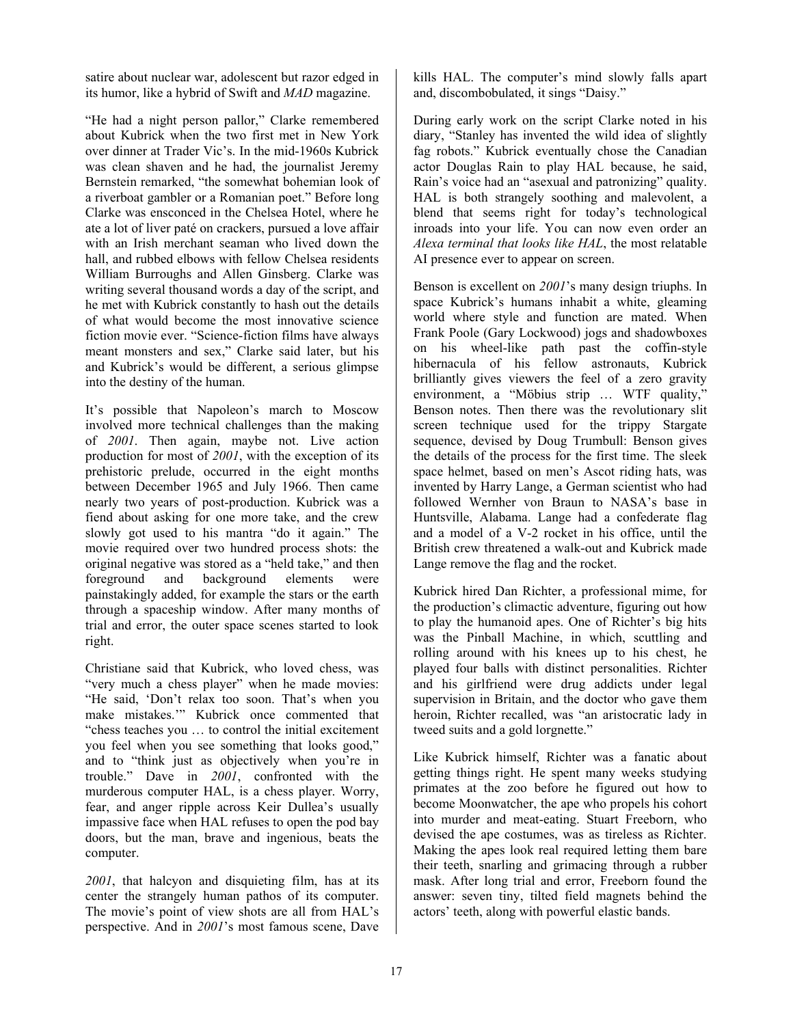satire about nuclear war, adolescent but razor edged in its humor, like a hybrid of Swift and *MAD* magazine.

"He had a night person pallor," Clarke remembered about Kubrick when the two first met in New York over dinner at Trader Vic's. In the mid-1960s Kubrick was clean shaven and he had, the journalist Jeremy Bernstein remarked, "the somewhat bohemian look of a riverboat gambler or a Romanian poet." Before long Clarke was ensconced in the Chelsea Hotel, where he ate a lot of liver paté on crackers, pursued a love affair with an Irish merchant seaman who lived down the hall, and rubbed elbows with fellow Chelsea residents William Burroughs and Allen Ginsberg. Clarke was writing several thousand words a day of the script, and he met with Kubrick constantly to hash out the details of what would become the most innovative science fiction movie ever. "Science-fiction films have always meant monsters and sex," Clarke said later, but his and Kubrick's would be different, a serious glimpse into the destiny of the human.

It's possible that Napoleon's march to Moscow involved more technical challenges than the making of *2001*. Then again, maybe not. Live action production for most of *2001*, with the exception of its prehistoric prelude, occurred in the eight months between December 1965 and July 1966. Then came nearly two years of post-production. Kubrick was a fiend about asking for one more take, and the crew slowly got used to his mantra "do it again." The movie required over two hundred process shots: the original negative was stored as a "held take," and then foreground and background elements were painstakingly added, for example the stars or the earth through a spaceship window. After many months of trial and error, the outer space scenes started to look right.

Christiane said that Kubrick, who loved chess, was "very much a chess player" when he made movies: "He said, 'Don't relax too soon. That's when you make mistakes.'" Kubrick once commented that "chess teaches you … to control the initial excitement you feel when you see something that looks good," and to "think just as objectively when you're in trouble." Dave in *2001*, confronted with the murderous computer HAL, is a chess player. Worry, fear, and anger ripple across Keir Dullea's usually impassive face when HAL refuses to open the pod bay doors, but the man, brave and ingenious, beats the computer.

*2001*, that halcyon and disquieting film, has at its center the strangely human pathos of its computer. The movie's point of view shots are all from HAL's perspective. And in *2001*'s most famous scene, Dave kills HAL. The computer's mind slowly falls apart and, discombobulated, it sings "Daisy."

During early work on the script Clarke noted in his diary, "Stanley has invented the wild idea of slightly fag robots." Kubrick eventually chose the Canadian actor Douglas Rain to play HAL because, he said, Rain's voice had an "asexual and patronizing" quality. HAL is both strangely soothing and malevolent, a blend that seems right for today's technological inroads into your life. You can now even order an *Alexa terminal that looks like HAL*, the most relatable AI presence ever to appear on screen.

Benson is excellent on *2001*'s many design triuphs. In space Kubrick's humans inhabit a white, gleaming world where style and function are mated. When Frank Poole (Gary Lockwood) jogs and shadowboxes on his wheel-like path past the coffin-style hibernacula of his fellow astronauts, Kubrick brilliantly gives viewers the feel of a zero gravity environment, a "Möbius strip … WTF quality," Benson notes. Then there was the revolutionary slit screen technique used for the trippy Stargate sequence, devised by Doug Trumbull: Benson gives the details of the process for the first time. The sleek space helmet, based on men's Ascot riding hats, was invented by Harry Lange, a German scientist who had followed Wernher von Braun to NASA's base in Huntsville, Alabama. Lange had a confederate flag and a model of a V-2 rocket in his office, until the British crew threatened a walk-out and Kubrick made Lange remove the flag and the rocket.

Kubrick hired Dan Richter, a professional mime, for the production's climactic adventure, figuring out how to play the humanoid apes. One of Richter's big hits was the Pinball Machine, in which, scuttling and rolling around with his knees up to his chest, he played four balls with distinct personalities. Richter and his girlfriend were drug addicts under legal supervision in Britain, and the doctor who gave them heroin, Richter recalled, was "an aristocratic lady in tweed suits and a gold lorgnette."

Like Kubrick himself, Richter was a fanatic about getting things right. He spent many weeks studying primates at the zoo before he figured out how to become Moonwatcher, the ape who propels his cohort into murder and meat-eating. Stuart Freeborn, who devised the ape costumes, was as tireless as Richter. Making the apes look real required letting them bare their teeth, snarling and grimacing through a rubber mask. After long trial and error, Freeborn found the answer: seven tiny, tilted field magnets behind the actors' teeth, along with powerful elastic bands.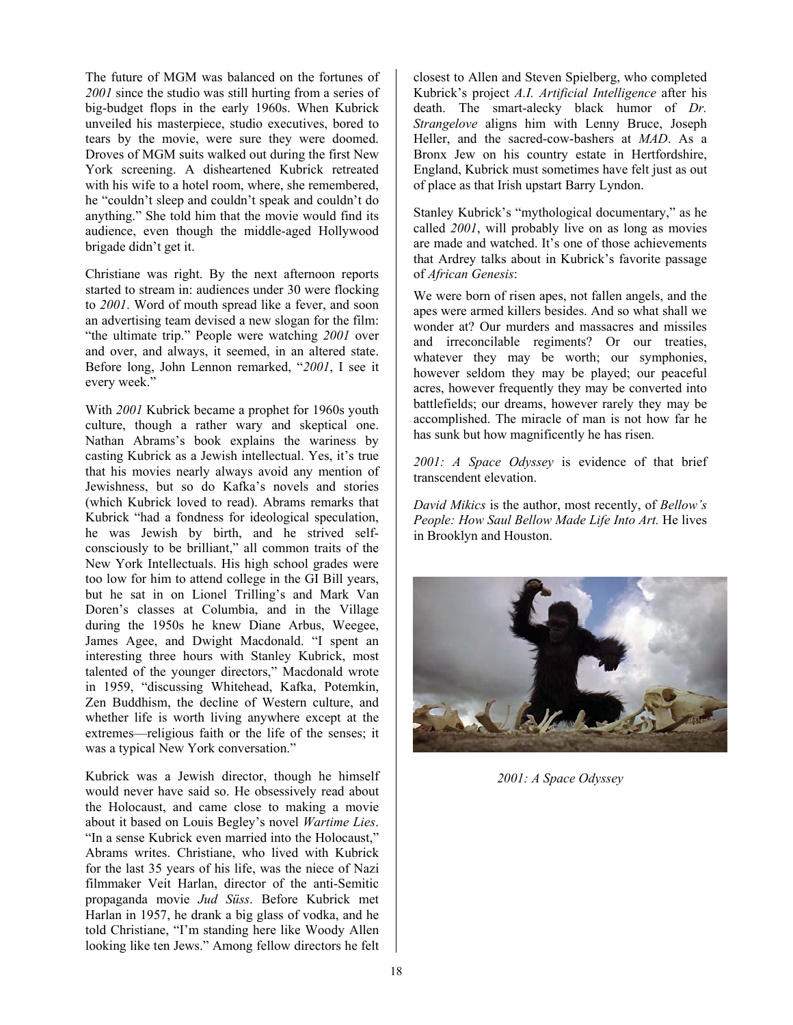The future of MGM was balanced on the fortunes of *2001* since the studio was still hurting from a series of big-budget flops in the early 1960s. When Kubrick unveiled his masterpiece, studio executives, bored to tears by the movie, were sure they were doomed. Droves of MGM suits walked out during the first New York screening. A disheartened Kubrick retreated with his wife to a hotel room, where, she remembered, he "couldn't sleep and couldn't speak and couldn't do anything." She told him that the movie would find its audience, even though the middle-aged Hollywood brigade didn't get it.

Christiane was right. By the next afternoon reports started to stream in: audiences under 30 were flocking to *2001*. Word of mouth spread like a fever, and soon an advertising team devised a new slogan for the film: "the ultimate trip." People were watching *2001* over and over, and always, it seemed, in an altered state. Before long, John Lennon remarked, "*2001*, I see it every week."

With *2001* Kubrick became a prophet for 1960s youth culture, though a rather wary and skeptical one. Nathan Abrams's book explains the wariness by casting Kubrick as a Jewish intellectual. Yes, it's true that his movies nearly always avoid any mention of Jewishness, but so do Kafka's novels and stories (which Kubrick loved to read). Abrams remarks that Kubrick "had a fondness for ideological speculation, he was Jewish by birth, and he strived selfconsciously to be brilliant," all common traits of the New York Intellectuals. His high school grades were too low for him to attend college in the GI Bill years, but he sat in on Lionel Trilling's and Mark Van Doren's classes at Columbia, and in the Village during the 1950s he knew Diane Arbus, Weegee, James Agee, and Dwight Macdonald. "I spent an interesting three hours with Stanley Kubrick, most talented of the younger directors," Macdonald wrote in 1959, "discussing Whitehead, Kafka, Potemkin, Zen Buddhism, the decline of Western culture, and whether life is worth living anywhere except at the extremes—religious faith or the life of the senses; it was a typical New York conversation."

Kubrick was a Jewish director, though he himself would never have said so. He obsessively read about the Holocaust, and came close to making a movie about it based on Louis Begley's novel *Wartime Lies*. "In a sense Kubrick even married into the Holocaust," Abrams writes. Christiane, who lived with Kubrick for the last 35 years of his life, was the niece of Nazi filmmaker Veit Harlan, director of the anti-Semitic propaganda movie *Jud Süss*. Before Kubrick met Harlan in 1957, he drank a big glass of vodka, and he told Christiane, "I'm standing here like Woody Allen looking like ten Jews." Among fellow directors he felt

closest to Allen and Steven Spielberg, who completed Kubrick's project *A.I. Artificial Intelligence* after his death. The smart-alecky black humor of *Dr. Strangelove* aligns him with Lenny Bruce, Joseph Heller, and the sacred-cow-bashers at *MAD*. As a Bronx Jew on his country estate in Hertfordshire, England, Kubrick must sometimes have felt just as out of place as that Irish upstart Barry Lyndon.

Stanley Kubrick's "mythological documentary," as he called *2001*, will probably live on as long as movies are made and watched. It's one of those achievements that Ardrey talks about in Kubrick's favorite passage of *African Genesis*:

We were born of risen apes, not fallen angels, and the apes were armed killers besides. And so what shall we wonder at? Our murders and massacres and missiles and irreconcilable regiments? Or our treaties, whatever they may be worth; our symphonies, however seldom they may be played; our peaceful acres, however frequently they may be converted into battlefields; our dreams, however rarely they may be accomplished. The miracle of man is not how far he has sunk but how magnificently he has risen.

*2001: A Space Odyssey* is evidence of that brief transcendent elevation.

*David Mikics* is the author, most recently, of *Bellow's People: How Saul Bellow Made Life Into Art.* He lives in Brooklyn and Houston.



*2001: A Space Odyssey*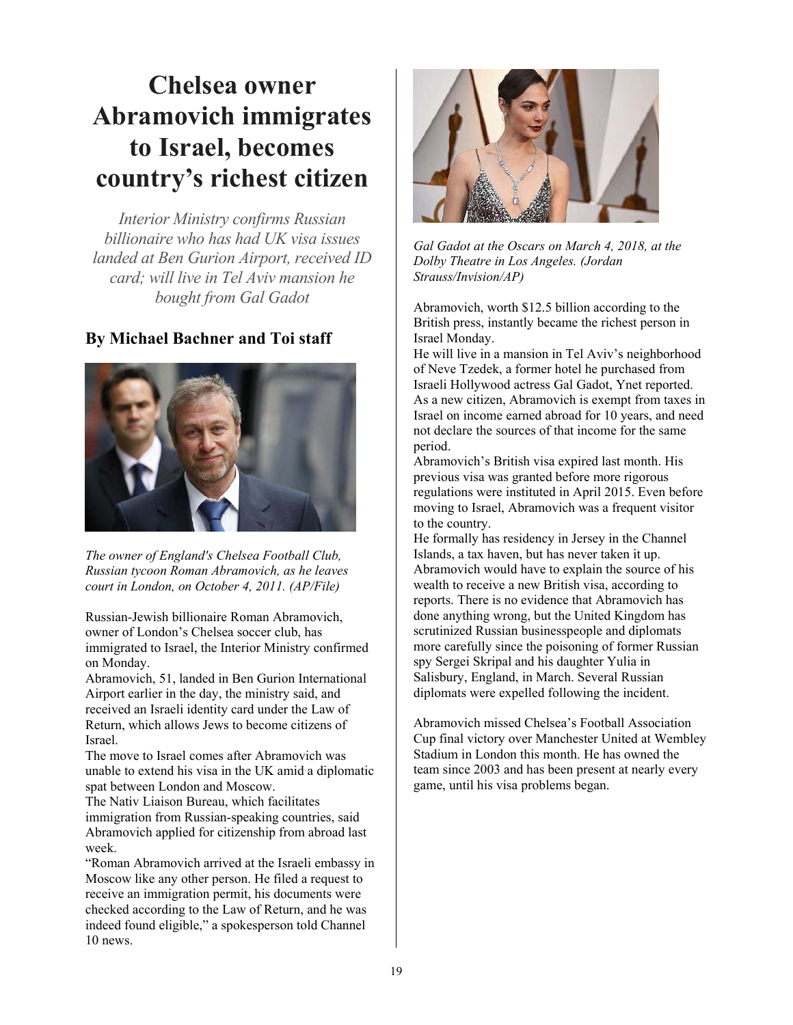### **Chelsea owner Abramovich immigrates to Israel, becomes country's richest citizen**

*Interior Ministry confirms Russian billionaire who has had UK visa issues landed at Ben Gurion Airport, received ID card; will live in Tel Aviv mansion he bought from Gal Gadot* 

### **By Michael Bachner and Toi staff**



*The owner of England's Chelsea Football Club, Russian tycoon Roman Abramovich, as he leaves court in London, on October 4, 2011. (AP/File)* 

Russian-Jewish billionaire Roman Abramovich, owner of London's Chelsea soccer club, has immigrated to Israel, the Interior Ministry confirmed on Monday.

Abramovich, 51, landed in Ben Gurion International Airport earlier in the day, the ministry said, and received an Israeli identity card under the Law of Return, which allows Jews to become citizens of Israel.

The move to Israel comes after Abramovich was unable to extend his visa in the UK amid a diplomatic spat between London and Moscow.

The Nativ Liaison Bureau, which facilitates immigration from Russian-speaking countries, said Abramovich applied for citizenship from abroad last week.

"Roman Abramovich arrived at the Israeli embassy in Moscow like any other person. He filed a request to receive an immigration permit, his documents were checked according to the Law of Return, and he was indeed found eligible," a spokesperson told Channel 10 news.



*Gal Gadot at the Oscars on March 4, 2018, at the Dolby Theatre in Los Angeles. (Jordan Strauss/Invision/AP)* 

Abramovich, worth \$12.5 billion according to the British press, instantly became the richest person in Israel Monday.

He will live in a mansion in Tel Aviv's neighborhood of Neve Tzedek, a former hotel he purchased from Israeli Hollywood actress Gal Gadot, Ynet reported. As a new citizen, Abramovich is exempt from taxes in Israel on income earned abroad for 10 years, and need not declare the sources of that income for the same period.

Abramovich's British visa expired last month. His previous visa was granted before more rigorous regulations were instituted in April 2015. Even before moving to Israel, Abramovich was a frequent visitor to the country.

He formally has residency in Jersey in the Channel Islands, a tax haven, but has never taken it up. Abramovich would have to explain the source of his wealth to receive a new British visa, according to reports. There is no evidence that Abramovich has done anything wrong, but the United Kingdom has scrutinized Russian businesspeople and diplomats more carefully since the poisoning of former Russian spy Sergei Skripal and his daughter Yulia in Salisbury, England, in March. Several Russian diplomats were expelled following the incident.

Abramovich missed Chelsea's Football Association Cup final victory over Manchester United at Wembley Stadium in London this month. He has owned the team since 2003 and has been present at nearly every game, until his visa problems began.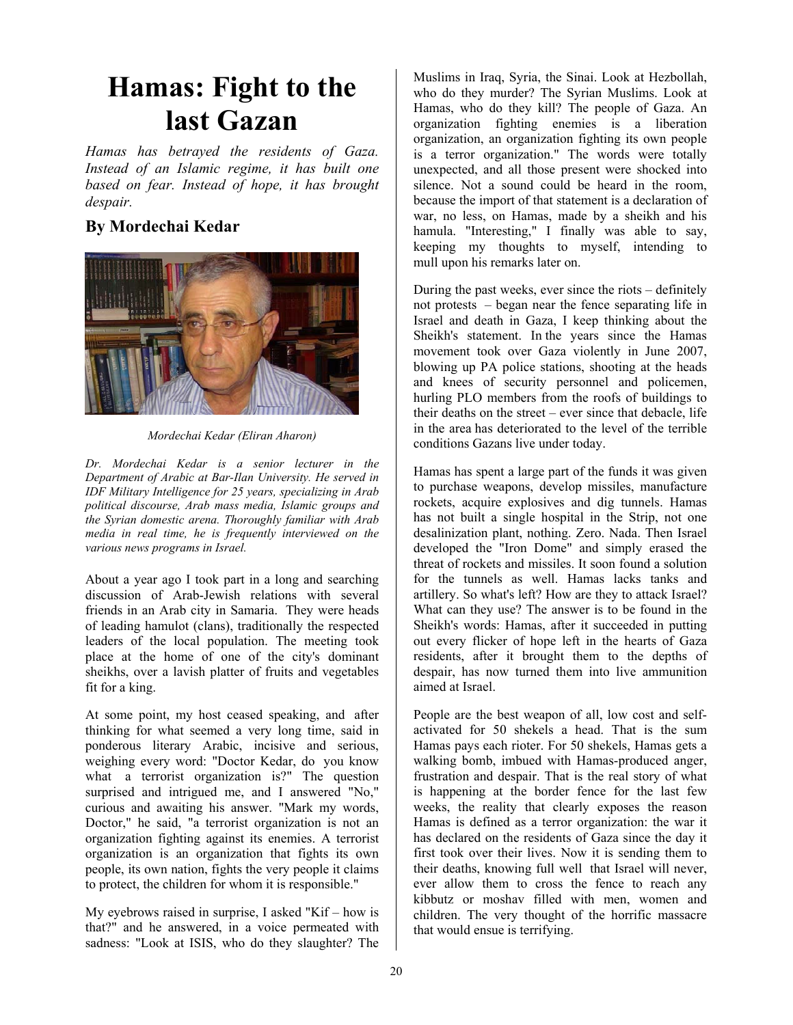### **Hamas: Fight to the last Gazan**

*Hamas has betrayed the residents of Gaza. Instead of an Islamic regime, it has built one based on fear. Instead of hope, it has brought despair.* 

### **By Mordechai Kedar**



*Mordechai Kedar (Eliran Aharon)* 

*Dr. Mordechai Kedar is a senior lecturer in the Department of Arabic at Bar-Ilan University. He served in IDF Military Intelligence for 25 years, specializing in Arab political discourse, Arab mass media, Islamic groups and the Syrian domestic arena. Thoroughly familiar with Arab media in real time, he is frequently interviewed on the various news programs in Israel.* 

About a year ago I took part in a long and searching discussion of Arab-Jewish relations with several friends in an Arab city in Samaria. They were heads of leading hamulot (clans), traditionally the respected leaders of the local population. The meeting took place at the home of one of the city's dominant sheikhs, over a lavish platter of fruits and vegetables fit for a king.

At some point, my host ceased speaking, and after thinking for what seemed a very long time, said in ponderous literary Arabic, incisive and serious, weighing every word: "Doctor Kedar, do you know what a terrorist organization is?" The question surprised and intrigued me, and I answered "No," curious and awaiting his answer. "Mark my words, Doctor," he said, "a terrorist organization is not an organization fighting against its enemies. A terrorist organization is an organization that fights its own people, its own nation, fights the very people it claims to protect, the children for whom it is responsible."

My eyebrows raised in surprise, I asked "Kif – how is that?" and he answered, in a voice permeated with sadness: "Look at ISIS, who do they slaughter? The

Muslims in Iraq, Syria, the Sinai. Look at Hezbollah, who do they murder? The Syrian Muslims. Look at Hamas, who do they kill? The people of Gaza. An organization fighting enemies is a liberation organization, an organization fighting its own people is a terror organization." The words were totally unexpected, and all those present were shocked into silence. Not a sound could be heard in the room, because the import of that statement is a declaration of war, no less, on Hamas, made by a sheikh and his hamula. "Interesting," I finally was able to say, keeping my thoughts to myself, intending to mull upon his remarks later on.

During the past weeks, ever since the riots – definitely not protests – began near the fence separating life in Israel and death in Gaza, I keep thinking about the Sheikh's statement. In the years since the Hamas movement took over Gaza violently in June 2007, blowing up PA police stations, shooting at the heads and knees of security personnel and policemen, hurling PLO members from the roofs of buildings to their deaths on the street – ever since that debacle, life in the area has deteriorated to the level of the terrible conditions Gazans live under today.

Hamas has spent a large part of the funds it was given to purchase weapons, develop missiles, manufacture rockets, acquire explosives and dig tunnels. Hamas has not built a single hospital in the Strip, not one desalinization plant, nothing. Zero. Nada. Then Israel developed the "Iron Dome" and simply erased the threat of rockets and missiles. It soon found a solution for the tunnels as well. Hamas lacks tanks and artillery. So what's left? How are they to attack Israel? What can they use? The answer is to be found in the Sheikh's words: Hamas, after it succeeded in putting out every flicker of hope left in the hearts of Gaza residents, after it brought them to the depths of despair, has now turned them into live ammunition aimed at Israel.

People are the best weapon of all, low cost and selfactivated for 50 shekels a head. That is the sum Hamas pays each rioter. For 50 shekels, Hamas gets a walking bomb, imbued with Hamas-produced anger, frustration and despair. That is the real story of what is happening at the border fence for the last few weeks, the reality that clearly exposes the reason Hamas is defined as a terror organization: the war it has declared on the residents of Gaza since the day it first took over their lives. Now it is sending them to their deaths, knowing full well that Israel will never, ever allow them to cross the fence to reach any kibbutz or moshav filled with men, women and children. The very thought of the horrific massacre that would ensue is terrifying.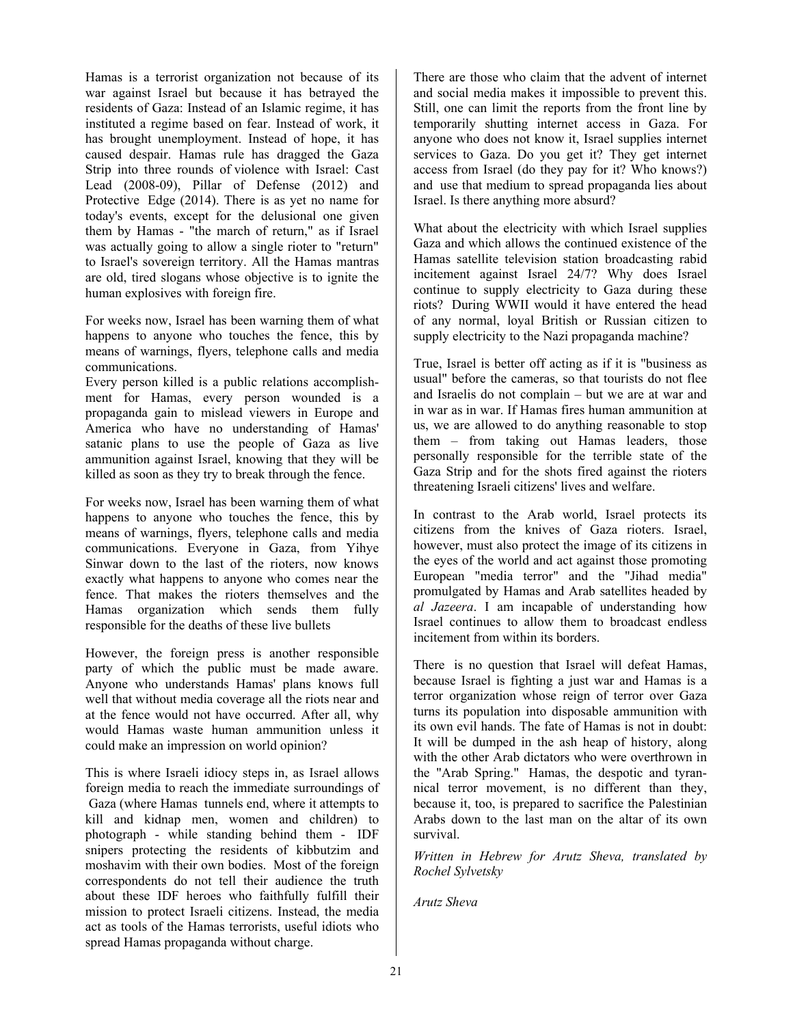Hamas is a terrorist organization not because of its war against Israel but because it has betrayed the residents of Gaza: Instead of an Islamic regime, it has instituted a regime based on fear. Instead of work, it has brought unemployment. Instead of hope, it has caused despair. Hamas rule has dragged the Gaza Strip into three rounds of violence with Israel: Cast Lead (2008-09), Pillar of Defense (2012) and Protective Edge (2014). There is as yet no name for today's events, except for the delusional one given them by Hamas - "the march of return," as if Israel was actually going to allow a single rioter to "return" to Israel's sovereign territory. All the Hamas mantras are old, tired slogans whose objective is to ignite the human explosives with foreign fire.

For weeks now, Israel has been warning them of what happens to anyone who touches the fence, this by means of warnings, flyers, telephone calls and media communications.

Every person killed is a public relations accomplishment for Hamas, every person wounded is a propaganda gain to mislead viewers in Europe and America who have no understanding of Hamas' satanic plans to use the people of Gaza as live ammunition against Israel, knowing that they will be killed as soon as they try to break through the fence.

For weeks now, Israel has been warning them of what happens to anyone who touches the fence, this by means of warnings, flyers, telephone calls and media communications. Everyone in Gaza, from Yihye Sinwar down to the last of the rioters, now knows exactly what happens to anyone who comes near the fence. That makes the rioters themselves and the Hamas organization which sends them fully responsible for the deaths of these live bullets

However, the foreign press is another responsible party of which the public must be made aware. Anyone who understands Hamas' plans knows full well that without media coverage all the riots near and at the fence would not have occurred. After all, why would Hamas waste human ammunition unless it could make an impression on world opinion?

This is where Israeli idiocy steps in, as Israel allows foreign media to reach the immediate surroundings of Gaza (where Hamas tunnels end, where it attempts to kill and kidnap men, women and children) to photograph - while standing behind them - IDF snipers protecting the residents of kibbutzim and moshavim with their own bodies. Most of the foreign correspondents do not tell their audience the truth about these IDF heroes who faithfully fulfill their mission to protect Israeli citizens. Instead, the media act as tools of the Hamas terrorists, useful idiots who spread Hamas propaganda without charge.

There are those who claim that the advent of internet and social media makes it impossible to prevent this. Still, one can limit the reports from the front line by temporarily shutting internet access in Gaza. For anyone who does not know it, Israel supplies internet services to Gaza. Do you get it? They get internet access from Israel (do they pay for it? Who knows?) and use that medium to spread propaganda lies about Israel. Is there anything more absurd?

What about the electricity with which Israel supplies Gaza and which allows the continued existence of the Hamas satellite television station broadcasting rabid incitement against Israel 24/7? Why does Israel continue to supply electricity to Gaza during these riots? During WWII would it have entered the head of any normal, loyal British or Russian citizen to supply electricity to the Nazi propaganda machine?

True, Israel is better off acting as if it is "business as usual" before the cameras, so that tourists do not flee and Israelis do not complain – but we are at war and in war as in war. If Hamas fires human ammunition at us, we are allowed to do anything reasonable to stop them – from taking out Hamas leaders, those personally responsible for the terrible state of the Gaza Strip and for the shots fired against the rioters threatening Israeli citizens' lives and welfare.

In contrast to the Arab world, Israel protects its citizens from the knives of Gaza rioters. Israel, however, must also protect the image of its citizens in the eyes of the world and act against those promoting European "media terror" and the "Jihad media" promulgated by Hamas and Arab satellites headed by *al Jazeera*. I am incapable of understanding how Israel continues to allow them to broadcast endless incitement from within its borders.

There is no question that Israel will defeat Hamas, because Israel is fighting a just war and Hamas is a terror organization whose reign of terror over Gaza turns its population into disposable ammunition with its own evil hands. The fate of Hamas is not in doubt: It will be dumped in the ash heap of history, along with the other Arab dictators who were overthrown in the "Arab Spring." Hamas, the despotic and tyrannical terror movement, is no different than they, because it, too, is prepared to sacrifice the Palestinian Arabs down to the last man on the altar of its own survival.

*Written in Hebrew for Arutz Sheva, translated by Rochel Sylvetsky* 

*Arutz Sheva*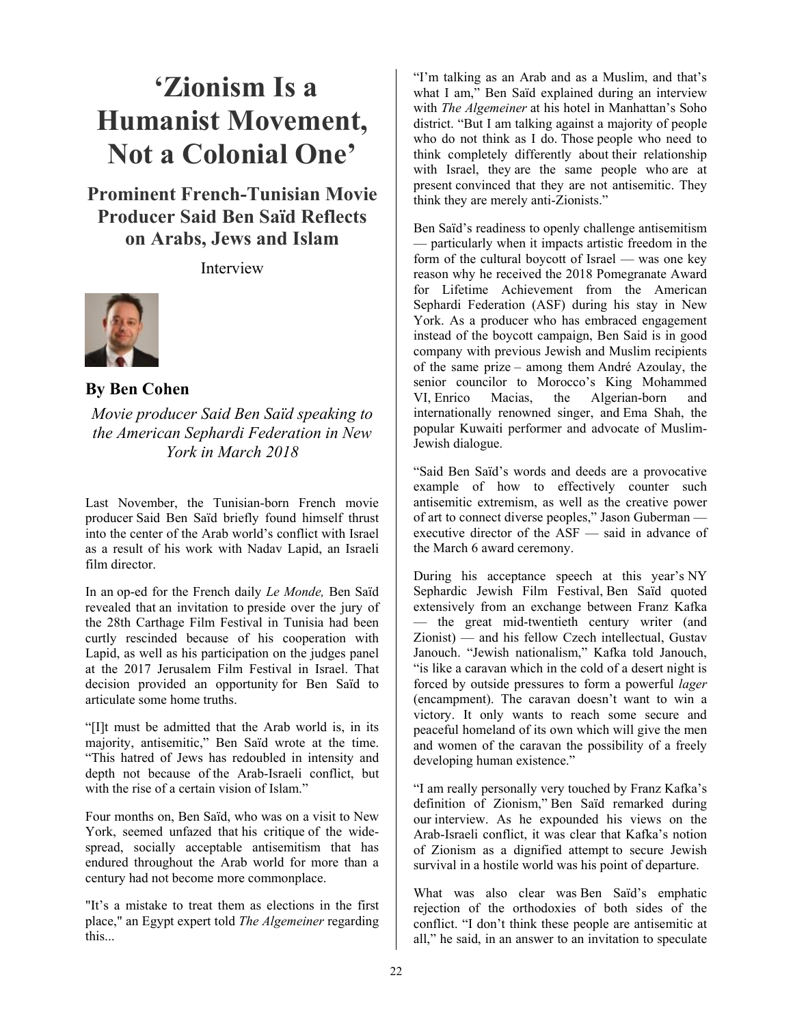## **'Zionism Is a Humanist Movement, Not a Colonial One'**

**Prominent French-Tunisian Movie Producer Said Ben Saïd Reflects on Arabs, Jews and Islam**

Interview



**By Ben Cohen** 

*Movie producer Said Ben Saïd speaking to the American Sephardi Federation in New York in March 2018* 

Last November, the Tunisian-born French movie producer Said Ben Saïd briefly found himself thrust into the center of the Arab world's conflict with Israel as a result of his work with Nadav Lapid, an Israeli film director.

In an op-ed for the French daily *Le Monde,* Ben Saïd revealed that an invitation to preside over the jury of the 28th Carthage Film Festival in Tunisia had been curtly rescinded because of his cooperation with Lapid, as well as his participation on the judges panel at the 2017 Jerusalem Film Festival in Israel. That decision provided an opportunity for Ben Saïd to articulate some home truths.

"[I]t must be admitted that the Arab world is, in its majority, antisemitic," Ben Saïd wrote at the time. "This hatred of Jews has redoubled in intensity and depth not because of the Arab-Israeli conflict, but with the rise of a certain vision of Islam."

Four months on, Ben Saïd, who was on a visit to New York, seemed unfazed that his critique of the widespread, socially acceptable antisemitism that has endured throughout the Arab world for more than a century had not become more commonplace.

"It's a mistake to treat them as elections in the first place," an Egypt expert told *The Algemeiner* regarding this...

"I'm talking as an Arab and as a Muslim, and that's what I am," Ben Saïd explained during an interview with *The Algemeiner* at his hotel in Manhattan's Soho district. "But I am talking against a majority of people who do not think as I do. Those people who need to think completely differently about their relationship with Israel, they are the same people who are at present convinced that they are not antisemitic. They think they are merely anti-Zionists."

Ben Saïd's readiness to openly challenge antisemitism — particularly when it impacts artistic freedom in the form of the cultural boycott of Israel — was one key reason why he received the 2018 Pomegranate Award for Lifetime Achievement from the American Sephardi Federation (ASF) during his stay in New York. As a producer who has embraced engagement instead of the boycott campaign, Ben Said is in good company with previous Jewish and Muslim recipients of the same prize – among them André Azoulay, the senior councilor to Morocco's King Mohammed VI, Enrico Macias, the Algerian-born and internationally renowned singer, and Ema Shah, the popular Kuwaiti performer and advocate of Muslim-Jewish dialogue.

"Said Ben Saïd's words and deeds are a provocative example of how to effectively counter such antisemitic extremism, as well as the creative power of art to connect diverse peoples," Jason Guberman executive director of the ASF — said in advance of the March 6 award ceremony.

During his acceptance speech at this year's NY Sephardic Jewish Film Festival, Ben Saïd quoted extensively from an exchange between Franz Kafka — the great mid-twentieth century writer (and Zionist) — and his fellow Czech intellectual, Gustav Janouch. "Jewish nationalism," Kafka told Janouch, "is like a caravan which in the cold of a desert night is forced by outside pressures to form a powerful *lager* (encampment). The caravan doesn't want to win a victory. It only wants to reach some secure and peaceful homeland of its own which will give the men and women of the caravan the possibility of a freely developing human existence."

"I am really personally very touched by Franz Kafka's definition of Zionism," Ben Saïd remarked during our interview. As he expounded his views on the Arab-Israeli conflict, it was clear that Kafka's notion of Zionism as a dignified attempt to secure Jewish survival in a hostile world was his point of departure.

What was also clear was Ben Saïd's emphatic rejection of the orthodoxies of both sides of the conflict. "I don't think these people are antisemitic at all," he said, in an answer to an invitation to speculate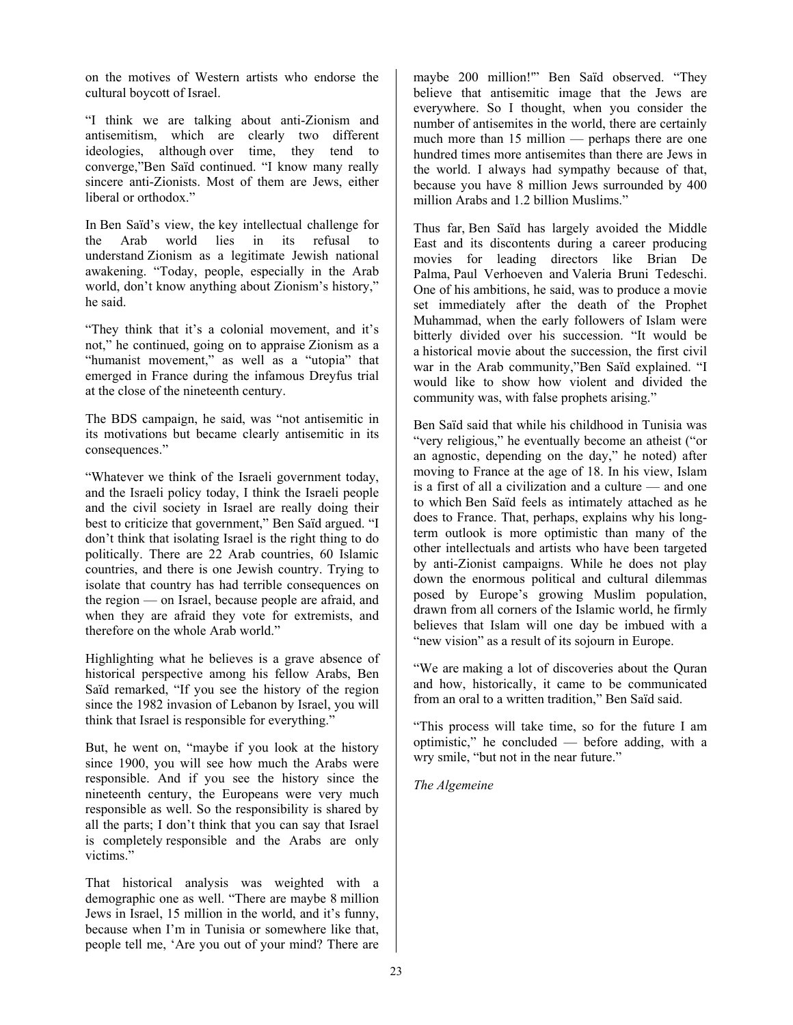on the motives of Western artists who endorse the cultural boycott of Israel.

"I think we are talking about anti-Zionism and antisemitism, which are clearly two different ideologies, although over time, they tend to converge,"Ben Saïd continued. "I know many really sincere anti-Zionists. Most of them are Jews, either liberal or orthodox."

In Ben Saïd's view, the key intellectual challenge for the Arab world lies in its refusal to understand Zionism as a legitimate Jewish national awakening. "Today, people, especially in the Arab world, don't know anything about Zionism's history," he said.

"They think that it's a colonial movement, and it's not," he continued, going on to appraise Zionism as a "humanist movement," as well as a "utopia" that emerged in France during the infamous Dreyfus trial at the close of the nineteenth century.

The BDS campaign, he said, was "not antisemitic in its motivations but became clearly antisemitic in its consequences."

"Whatever we think of the Israeli government today, and the Israeli policy today, I think the Israeli people and the civil society in Israel are really doing their best to criticize that government," Ben Saïd argued. "I don't think that isolating Israel is the right thing to do politically. There are 22 Arab countries, 60 Islamic countries, and there is one Jewish country. Trying to isolate that country has had terrible consequences on the region — on Israel, because people are afraid, and when they are afraid they vote for extremists, and therefore on the whole Arab world."

Highlighting what he believes is a grave absence of historical perspective among his fellow Arabs, Ben Saïd remarked, "If you see the history of the region since the 1982 invasion of Lebanon by Israel, you will think that Israel is responsible for everything."

But, he went on, "maybe if you look at the history since 1900, you will see how much the Arabs were responsible. And if you see the history since the nineteenth century, the Europeans were very much responsible as well. So the responsibility is shared by all the parts; I don't think that you can say that Israel is completely responsible and the Arabs are only victims."

That historical analysis was weighted with a demographic one as well. "There are maybe 8 million Jews in Israel, 15 million in the world, and it's funny, because when I'm in Tunisia or somewhere like that, people tell me, 'Are you out of your mind? There are

maybe 200 million!'" Ben Saïd observed. "They believe that antisemitic image that the Jews are everywhere. So I thought, when you consider the number of antisemites in the world, there are certainly much more than 15 million — perhaps there are one hundred times more antisemites than there are Jews in the world. I always had sympathy because of that, because you have 8 million Jews surrounded by 400 million Arabs and 1.2 billion Muslims."

Thus far, Ben Saïd has largely avoided the Middle East and its discontents during a career producing movies for leading directors like Brian De Palma, Paul Verhoeven and Valeria Bruni Tedeschi. One of his ambitions, he said, was to produce a movie set immediately after the death of the Prophet Muhammad, when the early followers of Islam were bitterly divided over his succession. "It would be a historical movie about the succession, the first civil war in the Arab community,"Ben Saïd explained. "I would like to show how violent and divided the community was, with false prophets arising."

Ben Saïd said that while his childhood in Tunisia was "very religious," he eventually become an atheist ("or an agnostic, depending on the day," he noted) after moving to France at the age of 18. In his view, Islam is a first of all a civilization and a culture — and one to which Ben Saïd feels as intimately attached as he does to France. That, perhaps, explains why his longterm outlook is more optimistic than many of the other intellectuals and artists who have been targeted by anti-Zionist campaigns. While he does not play down the enormous political and cultural dilemmas posed by Europe's growing Muslim population, drawn from all corners of the Islamic world, he firmly believes that Islam will one day be imbued with a "new vision" as a result of its sojourn in Europe.

"We are making a lot of discoveries about the Quran and how, historically, it came to be communicated from an oral to a written tradition," Ben Saïd said.

"This process will take time, so for the future I am optimistic," he concluded — before adding, with a wry smile, "but not in the near future."

*The Algemeine*